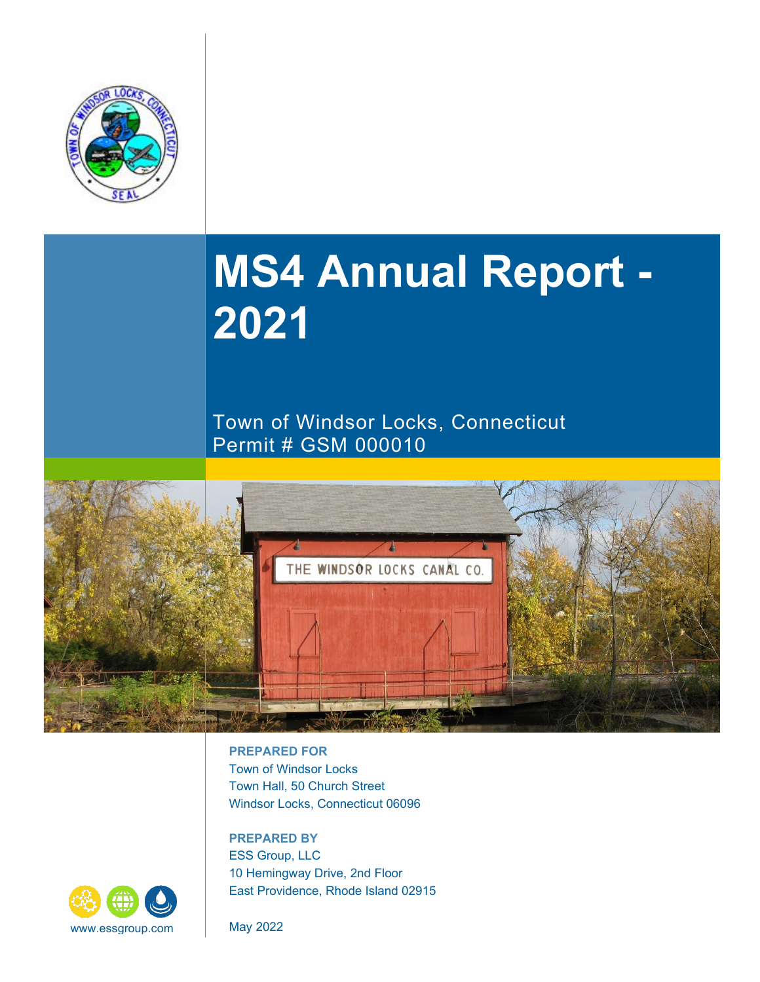

# **MS4 Annual Report - 2021**

Town of Windsor Locks, Connecticut Permit # GSM 000010



**PREPARED FOR** Town of Windsor Locks Town Hall, 50 Church Street Windsor Locks, Connecticut 06096

**PREPARED BY**  ESS Group, LLC 10 Hemingway Drive, 2nd Floor East Providence, Rhode Island 02915

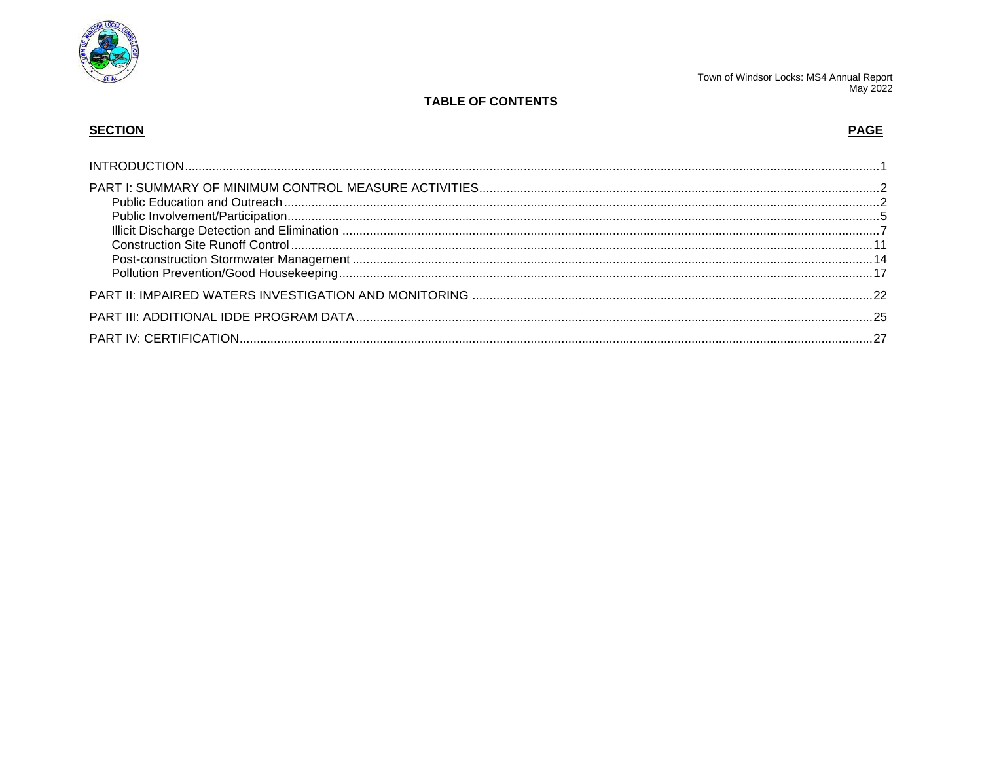

# **TABLE OF CONTENTS**

# **SECTION**

# **PAGE**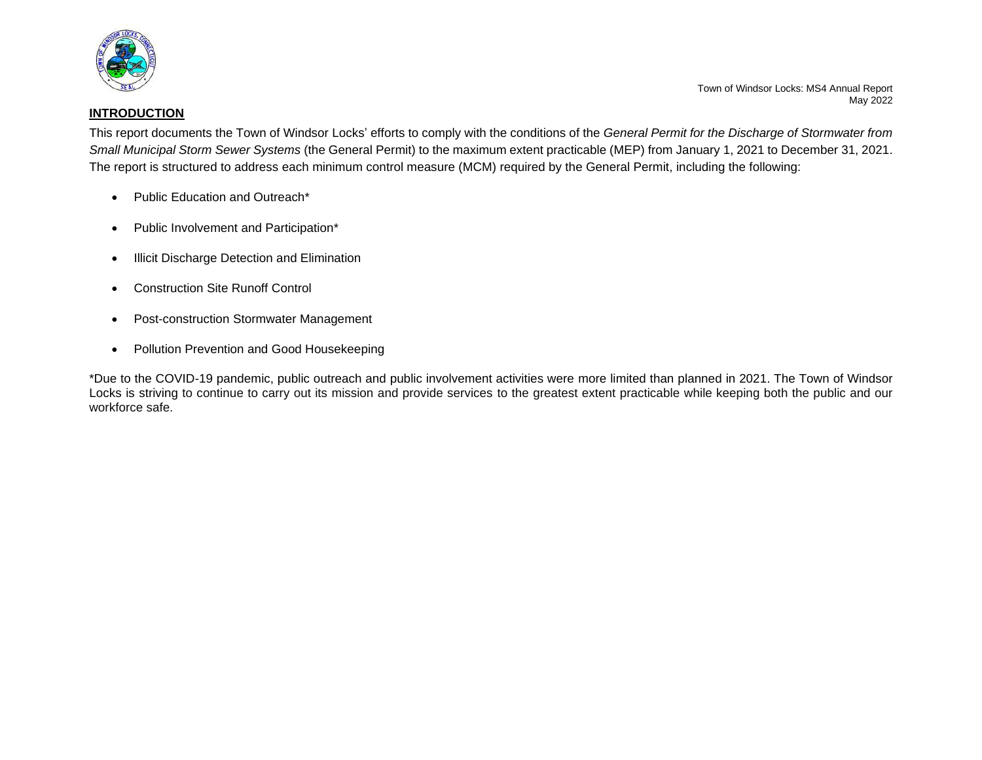

#### <span id="page-2-0"></span>**INTRODUCTION**

Town of Windsor Locks: MS4 Annual Report May 2022

This report documents the Town of Windsor Locks' efforts to comply with the conditions of the *General Permit for the Discharge of Stormwater from Small Municipal Storm Sewer Systems* (the General Permit) to the maximum extent practicable (MEP) from January 1, 2021 to December 31, 2021. The report is structured to address each minimum control measure (MCM) required by the General Permit, including the following:

- Public Education and Outreach\*
- Public Involvement and Participation\*
- Illicit Discharge Detection and Elimination
- Construction Site Runoff Control
- Post-construction Stormwater Management
- Pollution Prevention and Good Housekeeping

\*Due to the COVID-19 pandemic, public outreach and public involvement activities were more limited than planned in 2021. The Town of Windsor Locks is striving to continue to carry out its mission and provide services to the greatest extent practicable while keeping both the public and our workforce safe.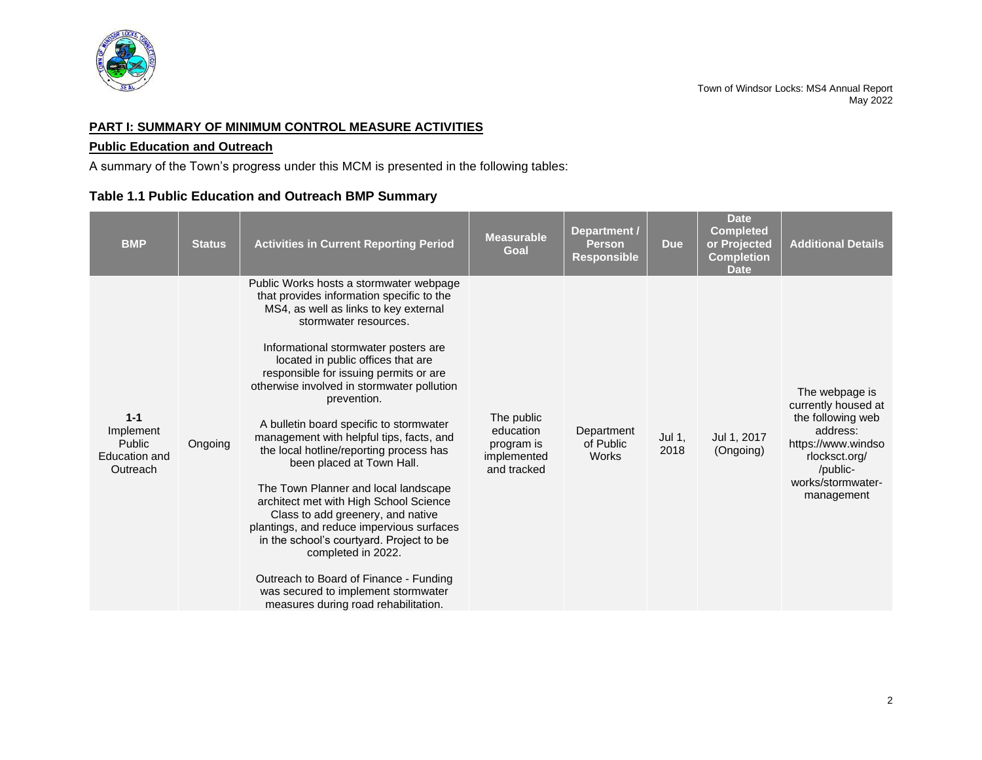

## <span id="page-3-0"></span>**PART I: SUMMARY OF MINIMUM CONTROL MEASURE ACTIVITIES**

## <span id="page-3-1"></span>**Public Education and Outreach**

A summary of the Town's progress under this MCM is presented in the following tables:

# **Table 1.1 Public Education and Outreach BMP Summary**

| <b>BMP</b>                                                  | <b>Status</b> | <b>Activities in Current Reporting Period</b>                                                                                                                                                                                                                                                                                                                                                                                                                                                                                                                                                                                                                                                                                                                                                                                                                             | <b>Measurable</b><br>Goal                                           | Department /<br><b>Person</b><br><b>Responsible</b> | <b>Due</b>     | <b>Date</b><br><b>Completed</b><br>or Projected<br><b>Completion</b><br><b>Date</b> | <b>Additional Details</b>                                                                                                                                    |
|-------------------------------------------------------------|---------------|---------------------------------------------------------------------------------------------------------------------------------------------------------------------------------------------------------------------------------------------------------------------------------------------------------------------------------------------------------------------------------------------------------------------------------------------------------------------------------------------------------------------------------------------------------------------------------------------------------------------------------------------------------------------------------------------------------------------------------------------------------------------------------------------------------------------------------------------------------------------------|---------------------------------------------------------------------|-----------------------------------------------------|----------------|-------------------------------------------------------------------------------------|--------------------------------------------------------------------------------------------------------------------------------------------------------------|
| $1 - 1$<br>Implement<br>Public<br>Education and<br>Outreach | Ongoing       | Public Works hosts a stormwater webpage<br>that provides information specific to the<br>MS4, as well as links to key external<br>stormwater resources.<br>Informational stormwater posters are<br>located in public offices that are<br>responsible for issuing permits or are<br>otherwise involved in stormwater pollution<br>prevention.<br>A bulletin board specific to stormwater<br>management with helpful tips, facts, and<br>the local hotline/reporting process has<br>been placed at Town Hall.<br>The Town Planner and local landscape<br>architect met with High School Science<br>Class to add greenery, and native<br>plantings, and reduce impervious surfaces<br>in the school's courtyard. Project to be<br>completed in 2022.<br>Outreach to Board of Finance - Funding<br>was secured to implement stormwater<br>measures during road rehabilitation. | The public<br>education<br>program is<br>implemented<br>and tracked | Department<br>of Public<br>Works                    | Jul 1,<br>2018 | Jul 1, 2017<br>(Ongoing)                                                            | The webpage is<br>currently housed at<br>the following web<br>address:<br>https://www.windso<br>rlocksct.org/<br>/public-<br>works/stormwater-<br>management |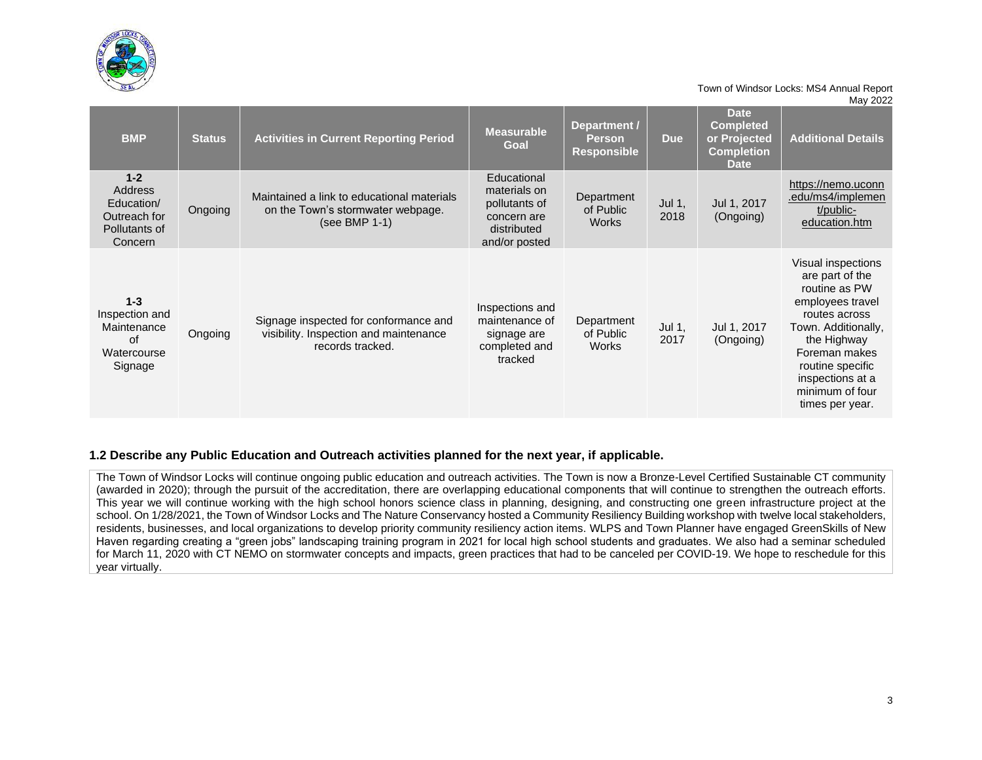

| <b>BMP</b>                                                                   | <b>Status</b> | <b>Activities in Current Reporting Period</b>                                                       | <b>Measurable</b><br>Goal                                                                   | Department /<br>Person<br><b>Responsible</b> | <b>Due</b>     | <b>Date</b><br><b>Completed</b><br>or Projected<br><b>Completion</b><br><b>Date</b> | <b>Additional Details</b>                                                                                                                                                                                                        |
|------------------------------------------------------------------------------|---------------|-----------------------------------------------------------------------------------------------------|---------------------------------------------------------------------------------------------|----------------------------------------------|----------------|-------------------------------------------------------------------------------------|----------------------------------------------------------------------------------------------------------------------------------------------------------------------------------------------------------------------------------|
| $1 - 2$<br>Address<br>Education/<br>Outreach for<br>Pollutants of<br>Concern | Ongoing       | Maintained a link to educational materials<br>on the Town's stormwater webpage.<br>(see BMP 1-1)    | Educational<br>materials on<br>pollutants of<br>concern are<br>distributed<br>and/or posted | Department<br>of Public<br><b>Works</b>      | Jul 1,<br>2018 | Jul 1, 2017<br>(Ongoing)                                                            | https://nemo.uconn<br>.edu/ms4/implemen<br>t/public-<br>education.htm                                                                                                                                                            |
| $1 - 3$<br>Inspection and<br>Maintenance<br>of<br>Watercourse<br>Signage     | Ongoing       | Signage inspected for conformance and<br>visibility. Inspection and maintenance<br>records tracked. | Inspections and<br>maintenance of<br>signage are<br>completed and<br>tracked                | Department<br>of Public<br>Works             | Jul 1,<br>2017 | Jul 1, 2017<br>(Ongoing)                                                            | Visual inspections<br>are part of the<br>routine as PW<br>employees travel<br>routes across<br>Town. Additionally,<br>the Highway<br>Foreman makes<br>routine specific<br>inspections at a<br>minimum of four<br>times per year. |

#### **1.2 Describe any Public Education and Outreach activities planned for the next year, if applicable.**

The Town of Windsor Locks will continue ongoing public education and outreach activities. The Town is now a Bronze-Level Certified Sustainable CT community (awarded in 2020); through the pursuit of the accreditation, there are overlapping educational components that will continue to strengthen the outreach efforts. This year we will continue working with the high school honors science class in planning, designing, and constructing one green infrastructure project at the school. On 1/28/2021, the Town of Windsor Locks and The Nature Conservancy hosted a Community Resiliency Building workshop with twelve local stakeholders, residents, businesses, and local organizations to develop priority community resiliency action items. WLPS and Town Planner have engaged GreenSkills of New Haven regarding creating a "green jobs" landscaping training program in 2021 for local high school students and graduates. We also had a seminar scheduled for March 11, 2020 with CT NEMO on stormwater concepts and impacts, green practices that had to be canceled per COVID-19. We hope to reschedule for this year virtually.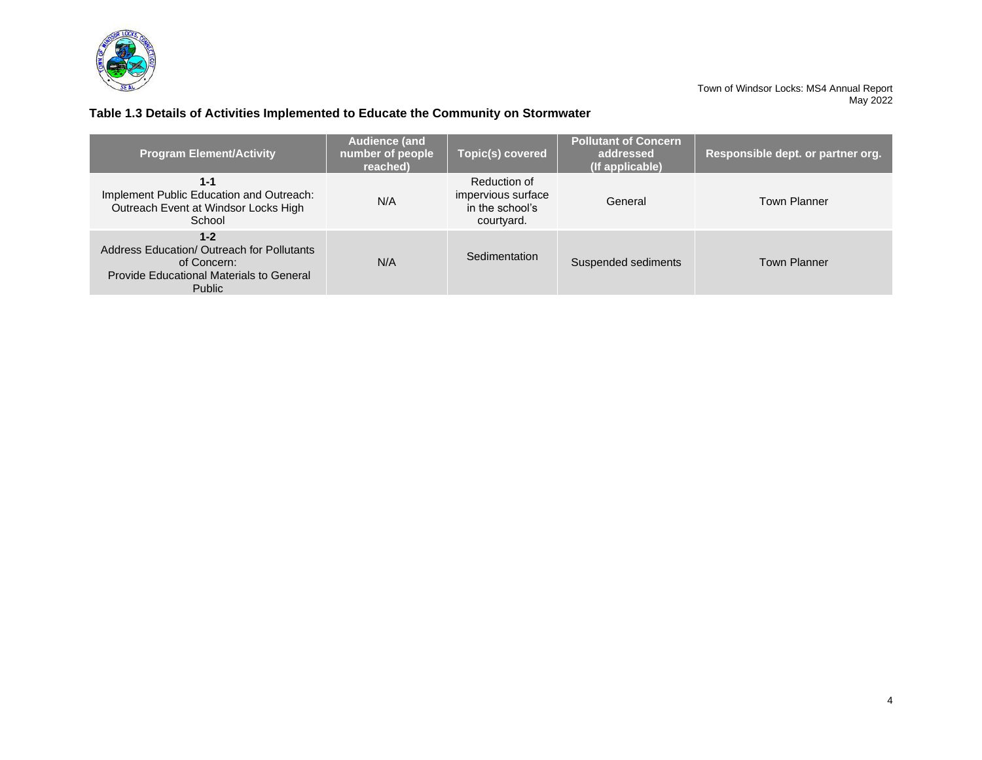

# **Table 1.3 Details of Activities Implemented to Educate the Community on Stormwater**

| <b>Program Element/Activity</b>                                                                                                          | <b>Audience (and</b><br>number of people<br>reached) | Topic(s) covered                                                    | <b>Pollutant of Concern</b><br>addressed<br>(If applicable) | Responsible dept. or partner org. |
|------------------------------------------------------------------------------------------------------------------------------------------|------------------------------------------------------|---------------------------------------------------------------------|-------------------------------------------------------------|-----------------------------------|
| 1-1<br>Implement Public Education and Outreach:<br>Outreach Event at Windsor Locks High<br>School                                        | N/A                                                  | Reduction of<br>impervious surface<br>in the school's<br>courtyard. | General                                                     | <b>Town Planner</b>               |
| $1 - 2$<br>Address Education/ Outreach for Pollutants<br>of Concern:<br><b>Provide Educational Materials to General</b><br><b>Public</b> | N/A                                                  | Sedimentation                                                       | Suspended sediments                                         | <b>Town Planner</b>               |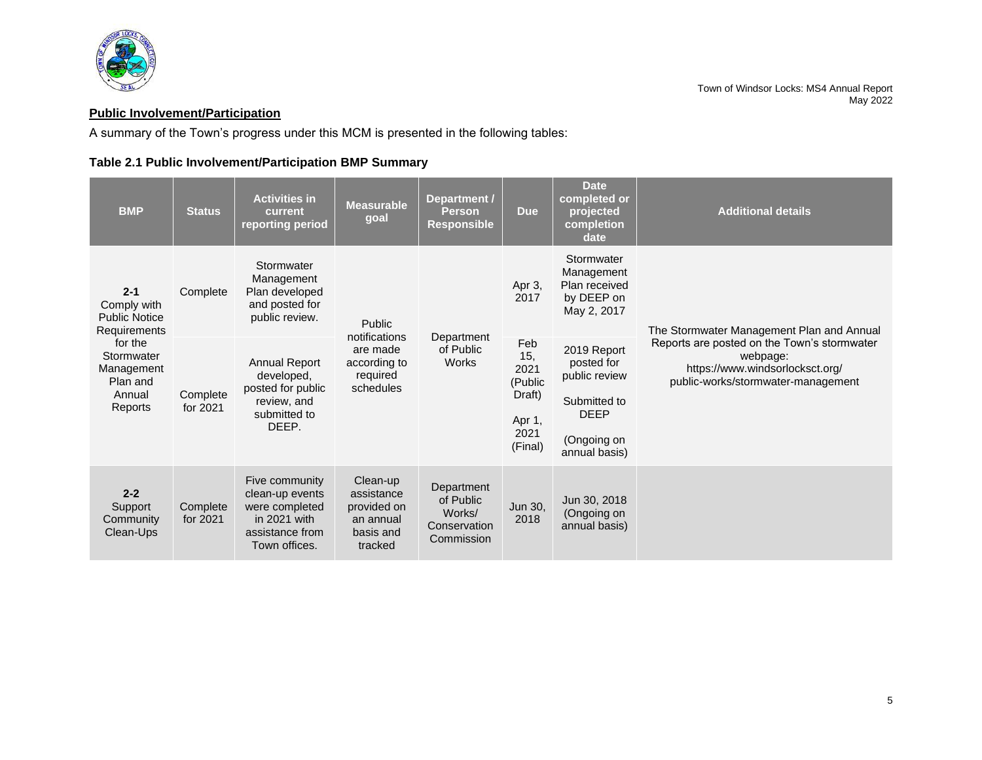

# <span id="page-6-0"></span>**Public Involvement/Participation**

A summary of the Town's progress under this MCM is presented in the following tables:

# **Table 2.1 Public Involvement/Participation BMP Summary**

| <b>BMP</b>                                                           | <b>Status</b>        | <b>Activities in</b><br>current<br>reporting period                                                     | <b>Measurable</b><br>goal                                                  | Department /<br><b>Person</b><br><b>Responsible</b>             | <b>Due</b>                                                                               | <b>Date</b><br>completed or<br>projected<br>completion<br>date                                            | <b>Additional details</b>                                                                                                        |
|----------------------------------------------------------------------|----------------------|---------------------------------------------------------------------------------------------------------|----------------------------------------------------------------------------|-----------------------------------------------------------------|------------------------------------------------------------------------------------------|-----------------------------------------------------------------------------------------------------------|----------------------------------------------------------------------------------------------------------------------------------|
| $2 - 1$<br>Comply with<br><b>Public Notice</b><br>Requirements       | Complete             | Stormwater<br>Management<br>Plan developed<br>and posted for<br>public review.                          | Public<br>notifications                                                    |                                                                 | Stormwater<br>Management<br>Plan received<br>Apr 3,<br>by DEEP on<br>2017<br>May 2, 2017 |                                                                                                           | The Stormwater Management Plan and Annual                                                                                        |
| for the<br>Stormwater<br>Management<br>Plan and<br>Annual<br>Reports | Complete<br>for 2021 | <b>Annual Report</b><br>developed,<br>posted for public<br>review, and<br>submitted to<br>DEEP.         | are made<br>according to<br>required<br>schedules                          | Department<br>of Public<br><b>Works</b>                         | Feb<br>15,<br>2021<br>(Public<br>Draft)<br>Apr 1,<br>2021<br>(Final)                     | 2019 Report<br>posted for<br>public review<br>Submitted to<br><b>DEEP</b><br>(Ongoing on<br>annual basis) | Reports are posted on the Town's stormwater<br>webpage:<br>https://www.windsorlocksct.org/<br>public-works/stormwater-management |
| $2 - 2$<br>Support<br>Community<br>Clean-Ups                         | Complete<br>for 2021 | Five community<br>clean-up events<br>were completed<br>in 2021 with<br>assistance from<br>Town offices. | Clean-up<br>assistance<br>provided on<br>an annual<br>basis and<br>tracked | Department<br>of Public<br>Works/<br>Conservation<br>Commission | Jun 30,<br>2018                                                                          | Jun 30, 2018<br>(Ongoing on<br>annual basis)                                                              |                                                                                                                                  |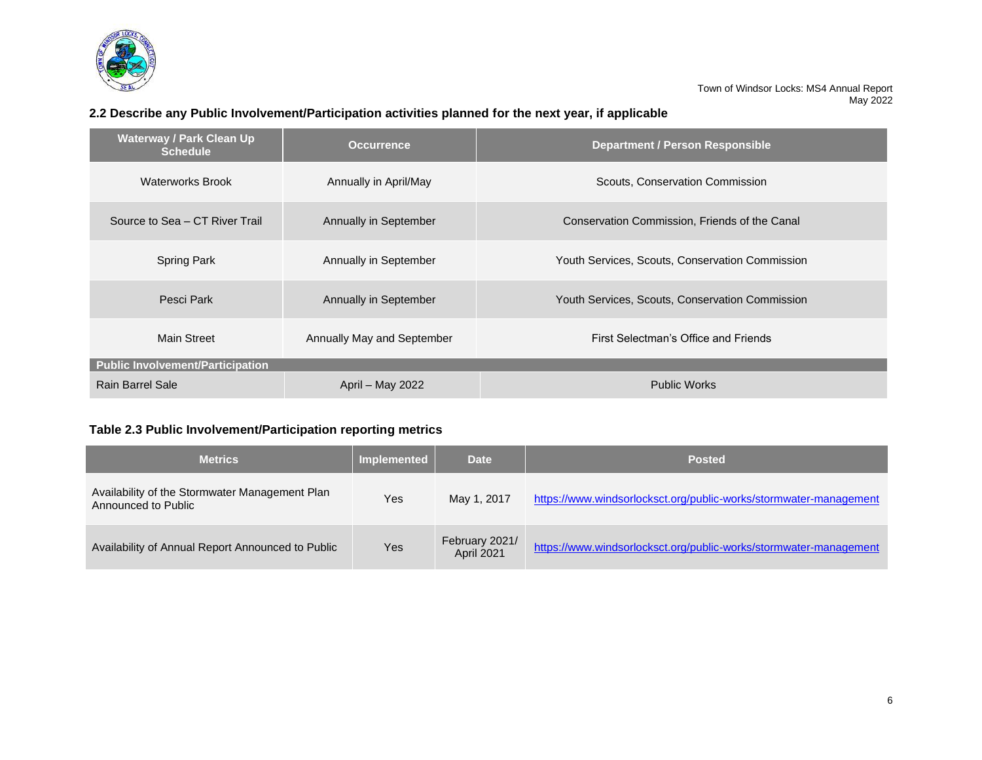

# **2.2 Describe any Public Involvement/Participation activities planned for the next year, if applicable**

| <b>Waterway / Park Clean Up</b><br><b>Schedule</b> | <b>Occurrence</b>          | <b>Department / Person Responsible</b>          |  |  |
|----------------------------------------------------|----------------------------|-------------------------------------------------|--|--|
| <b>Waterworks Brook</b>                            | Annually in April/May      | Scouts, Conservation Commission                 |  |  |
| Source to Sea – CT River Trail                     | Annually in September      | Conservation Commission, Friends of the Canal   |  |  |
| <b>Spring Park</b>                                 | Annually in September      | Youth Services, Scouts, Conservation Commission |  |  |
| Pesci Park                                         | Annually in September      | Youth Services, Scouts, Conservation Commission |  |  |
| Main Street                                        | Annually May and September | First Selectman's Office and Friends            |  |  |
| Public Involvement/Participation                   |                            |                                                 |  |  |
| Rain Barrel Sale                                   | April - May 2022           | <b>Public Works</b>                             |  |  |

# **Table 2.3 Public Involvement/Participation reporting metrics**

| <b>Metrics</b>                                                        | <b>Implemented</b> | <b>Date</b>                         | <b>Posted</b>                                                     |
|-----------------------------------------------------------------------|--------------------|-------------------------------------|-------------------------------------------------------------------|
| Availability of the Stormwater Management Plan<br>Announced to Public | Yes                | May 1, 2017                         | https://www.windsorlocksct.org/public-works/stormwater-management |
| Availability of Annual Report Announced to Public                     | Yes                | February 2021/<br><b>April 2021</b> | https://www.windsorlocksct.org/public-works/stormwater-management |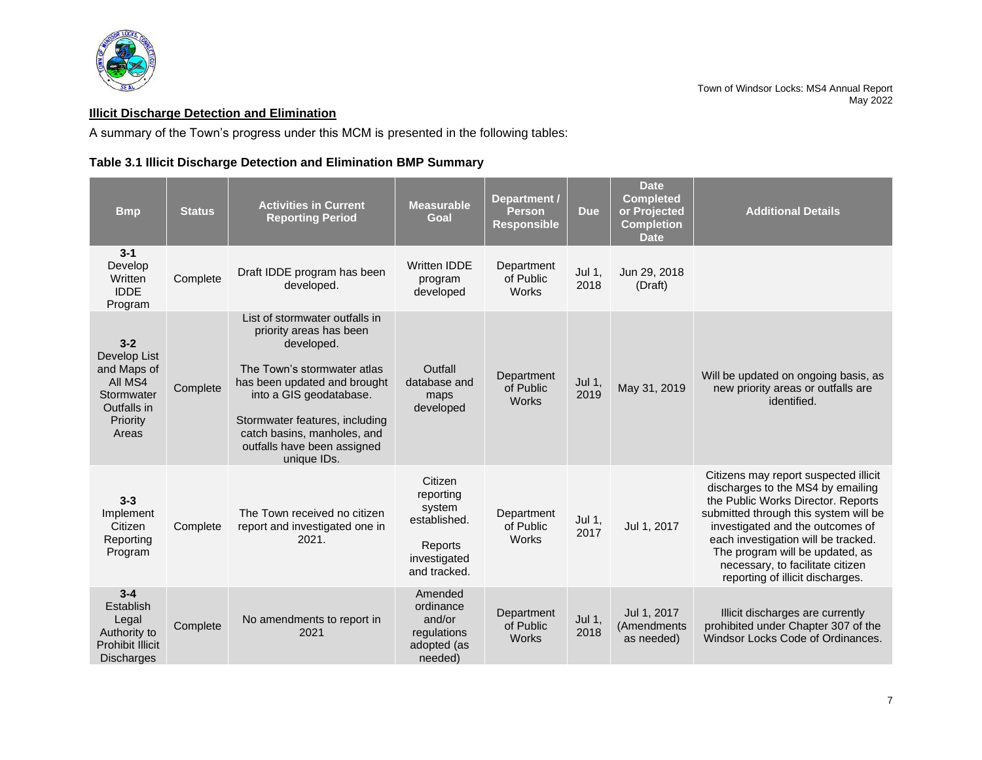

## <span id="page-8-0"></span>**Illicit Discharge Detection and Elimination**

A summary of the Town's progress under this MCM is presented in the following tables:

# **Table 3.1 Illicit Discharge Detection and Elimination BMP Summary**

| <b>B</b> mp                                                                                         | <b>Status</b> | <b>Activities in Current</b><br><b>Reporting Period</b>                                                                                                                                                                                                                          | <b>Measurable</b><br>Goal                                                                 | Department /<br><b>Person</b><br><b>Responsible</b> | <b>Due</b>       | <b>Date</b><br><b>Completed</b><br>or Projected<br><b>Completion</b><br><b>Date</b> | <b>Additional Details</b>                                                                                                                                                                                                                                                                                                                       |
|-----------------------------------------------------------------------------------------------------|---------------|----------------------------------------------------------------------------------------------------------------------------------------------------------------------------------------------------------------------------------------------------------------------------------|-------------------------------------------------------------------------------------------|-----------------------------------------------------|------------------|-------------------------------------------------------------------------------------|-------------------------------------------------------------------------------------------------------------------------------------------------------------------------------------------------------------------------------------------------------------------------------------------------------------------------------------------------|
| $3 - 1$<br>Develop<br>Written<br><b>IDDE</b><br>Program                                             | Complete      | Draft IDDE program has been<br>developed.                                                                                                                                                                                                                                        | <b>Written IDDE</b><br>program<br>developed                                               | Department<br>of Public<br><b>Works</b>             | Jul 1,<br>2018   | Jun 29, 2018<br>(Draft)                                                             |                                                                                                                                                                                                                                                                                                                                                 |
| $3 - 2$<br>Develop List<br>and Maps of<br>All MS4<br>Stormwater<br>Outfalls in<br>Priority<br>Areas | Complete      | List of stormwater outfalls in<br>priority areas has been<br>developed.<br>The Town's stormwater atlas<br>has been updated and brought<br>into a GIS geodatabase.<br>Stormwater features, including<br>catch basins, manholes, and<br>outfalls have been assigned<br>unique IDs. | Outfall<br>database and<br>maps<br>developed                                              | Department<br>of Public<br><b>Works</b>             | Jul 1,<br>2019   | May 31, 2019                                                                        | Will be updated on ongoing basis, as<br>new priority areas or outfalls are<br>identified.                                                                                                                                                                                                                                                       |
| $3 - 3$<br>Implement<br>Citizen<br>Reporting<br>Program                                             | Complete      | The Town received no citizen<br>report and investigated one in<br>2021.                                                                                                                                                                                                          | Citizen<br>reporting<br>system<br>established.<br>Reports<br>investigated<br>and tracked. | Department<br>of Public<br>Works                    | Jul $1,$<br>2017 | Jul 1, 2017                                                                         | Citizens may report suspected illicit<br>discharges to the MS4 by emailing<br>the Public Works Director. Reports<br>submitted through this system will be<br>investigated and the outcomes of<br>each investigation will be tracked.<br>The program will be updated, as<br>necessary, to facilitate citizen<br>reporting of illicit discharges. |
| $3 - 4$<br>Establish<br>Legal<br>Authority to<br>Prohibit Illicit<br><b>Discharges</b>              | Complete      | No amendments to report in<br>2021                                                                                                                                                                                                                                               | Amended<br>ordinance<br>and/or<br>regulations<br>adopted (as<br>needed)                   | Department<br>of Public<br><b>Works</b>             | Jul 1,<br>2018   | Jul 1, 2017<br>(Amendments<br>as needed)                                            | Illicit discharges are currently<br>prohibited under Chapter 307 of the<br>Windsor Locks Code of Ordinances.                                                                                                                                                                                                                                    |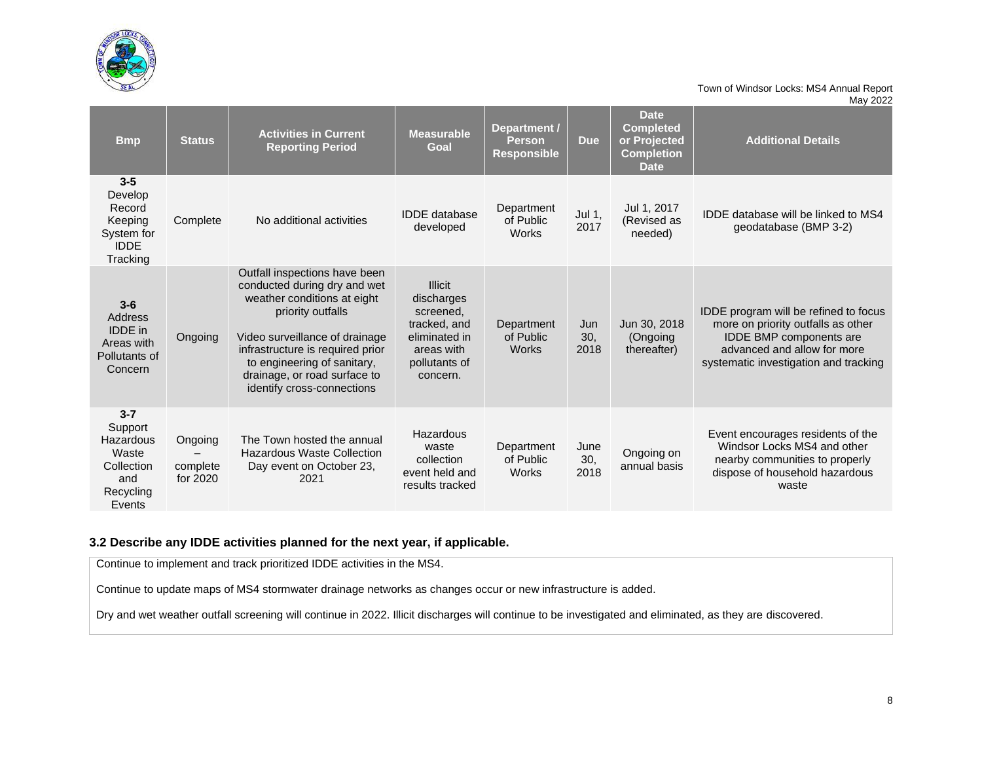

| <b>Bmp</b>                                                                           | <b>Status</b>                   | <b>Activities in Current</b><br><b>Reporting Period</b>                                                                                                                                                                                                                              | <b>Measurable</b><br>Goal                                                                                             | Department /<br><b>Person</b><br><b>Responsible</b> | <b>Due</b>          | <b>Date</b><br><b>Completed</b><br>or Projected<br><b>Completion</b><br><b>Date</b> | <b>Additional Details</b>                                                                                                                                                      |
|--------------------------------------------------------------------------------------|---------------------------------|--------------------------------------------------------------------------------------------------------------------------------------------------------------------------------------------------------------------------------------------------------------------------------------|-----------------------------------------------------------------------------------------------------------------------|-----------------------------------------------------|---------------------|-------------------------------------------------------------------------------------|--------------------------------------------------------------------------------------------------------------------------------------------------------------------------------|
| $3-5$<br>Develop<br>Record<br>Keeping<br>System for<br><b>IDDE</b><br>Tracking       | Complete                        | No additional activities                                                                                                                                                                                                                                                             | <b>IDDE</b> database<br>developed                                                                                     | Department<br>of Public<br><b>Works</b>             | Jul 1,<br>2017      | Jul 1, 2017<br>(Revised as<br>needed)                                               | IDDE database will be linked to MS4<br>geodatabase (BMP 3-2)                                                                                                                   |
| $3-6$<br>Address<br><b>IDDE</b> in<br>Areas with<br>Pollutants of<br>Concern         | Ongoing                         | Outfall inspections have been<br>conducted during dry and wet<br>weather conditions at eight<br>priority outfalls<br>Video surveillance of drainage<br>infrastructure is required prior<br>to engineering of sanitary,<br>drainage, or road surface to<br>identify cross-connections | <b>Illicit</b><br>discharges<br>screened,<br>tracked, and<br>eliminated in<br>areas with<br>pollutants of<br>concern. | Department<br>of Public<br><b>Works</b>             | Jun<br>30,<br>2018  | Jun 30, 2018<br>(Ongoing<br>thereafter)                                             | IDDE program will be refined to focus<br>more on priority outfalls as other<br>IDDE BMP components are<br>advanced and allow for more<br>systematic investigation and tracking |
| $3 - 7$<br>Support<br>Hazardous<br>Waste<br>Collection<br>and<br>Recycling<br>Events | Ongoing<br>complete<br>for 2020 | The Town hosted the annual<br><b>Hazardous Waste Collection</b><br>Day event on October 23,<br>2021                                                                                                                                                                                  | Hazardous<br>waste<br>collection<br>event held and<br>results tracked                                                 | Department<br>of Public<br><b>Works</b>             | June<br>30.<br>2018 | Ongoing on<br>annual basis                                                          | Event encourages residents of the<br>Windsor Locks MS4 and other<br>nearby communities to properly<br>dispose of household hazardous<br>waste                                  |

## **3.2 Describe any IDDE activities planned for the next year, if applicable.**

Continue to implement and track prioritized IDDE activities in the MS4.

Continue to update maps of MS4 stormwater drainage networks as changes occur or new infrastructure is added.

Dry and wet weather outfall screening will continue in 2022. Illicit discharges will continue to be investigated and eliminated, as they are discovered.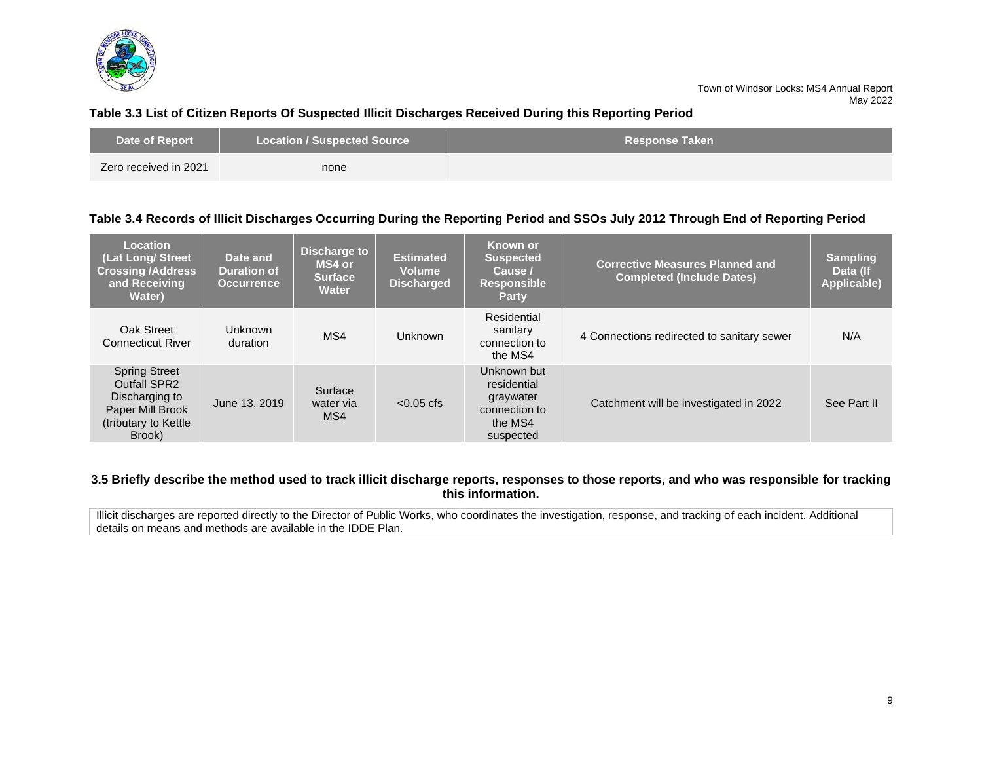

#### **Table 3.3 List of Citizen Reports Of Suspected Illicit Discharges Received During this Reporting Period**

| Date of Report        | <b>Location / Suspected Source</b> | <b>Response Taken</b> \ |
|-----------------------|------------------------------------|-------------------------|
| Zero received in 2021 | none                               |                         |

#### **Table 3.4 Records of Illicit Discharges Occurring During the Reporting Period and SSOs July 2012 Through End of Reporting Period**

| Location<br>(Lat Long/ Street<br><b>Crossing /Address</b><br>and Receiving<br><b>Water</b> )                        | Date and<br><b>Duration of</b><br><b>Occurrence</b> | Discharge to<br>MS4 or<br><b>Surface</b><br><b>Water</b> | <b>Estimated</b><br><b>Volume</b><br><b>Discharged</b> | <b>Known or</b><br><b>Suspected</b><br>Cause /<br><b>Responsible</b><br><b>Party</b> | <b>Corrective Measures Planned and</b><br><b>Completed (Include Dates)</b> | <b>Sampling</b><br>Data (If<br>Applicable) |
|---------------------------------------------------------------------------------------------------------------------|-----------------------------------------------------|----------------------------------------------------------|--------------------------------------------------------|--------------------------------------------------------------------------------------|----------------------------------------------------------------------------|--------------------------------------------|
| Oak Street<br><b>Connecticut River</b>                                                                              | <b>Unknown</b><br>duration                          | MS4                                                      | <b>Unknown</b>                                         | Residential<br>sanitary<br>connection to<br>the MS4                                  | 4 Connections redirected to sanitary sewer                                 | N/A                                        |
| <b>Spring Street</b><br><b>Outfall SPR2</b><br>Discharging to<br>Paper Mill Brook<br>(tributary to Kettle<br>Brook) | June 13, 2019                                       | Surface<br>water via<br>MS4                              | $< 0.05$ cfs                                           | Unknown but<br>residential<br>graywater<br>connection to<br>the MS4<br>suspected     | Catchment will be investigated in 2022                                     | See Part II                                |

#### **3.5 Briefly describe the method used to track illicit discharge reports, responses to those reports, and who was responsible for tracking this information.**

Illicit discharges are reported directly to the Director of Public Works, who coordinates the investigation, response, and tracking of each incident. Additional details on means and methods are available in the IDDE Plan.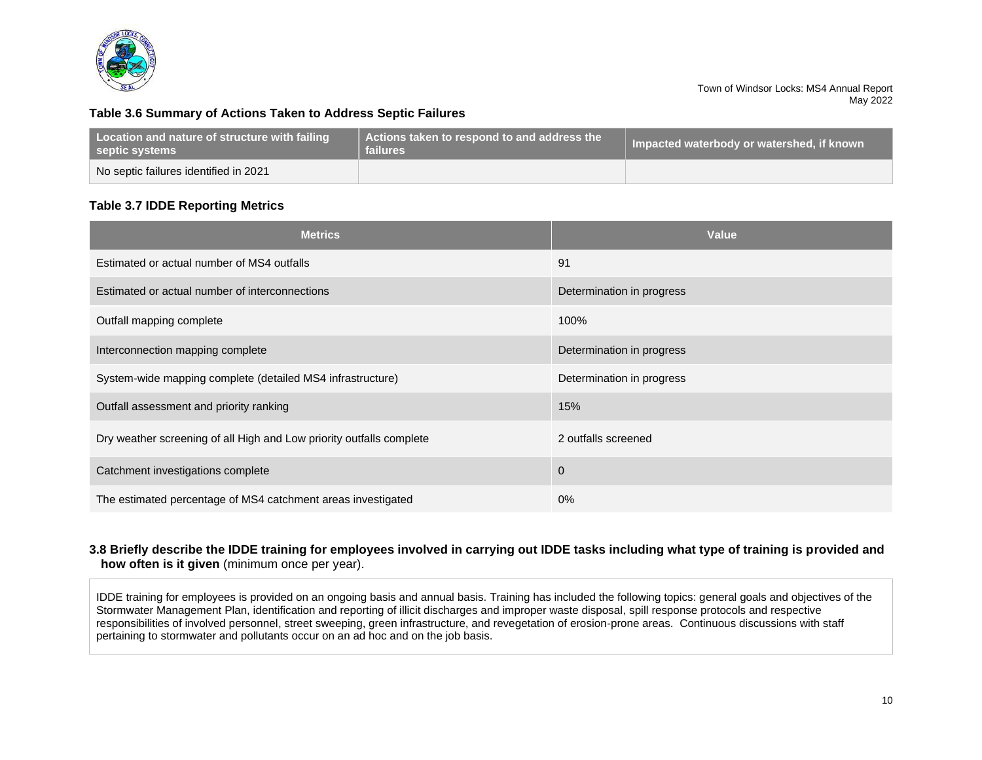

#### **Table 3.6 Summary of Actions Taken to Address Septic Failures**

| Location and nature of structure with failing<br>septic systems | Actions taken to respond to and address the<br>failures | Impacted waterbody or watershed, if known |  |
|-----------------------------------------------------------------|---------------------------------------------------------|-------------------------------------------|--|
| No septic failures identified in 2021                           |                                                         |                                           |  |

## **Table 3.7 IDDE Reporting Metrics**

| <b>Metrics</b>                                                       | Value                     |
|----------------------------------------------------------------------|---------------------------|
| Estimated or actual number of MS4 outfalls                           | 91                        |
| Estimated or actual number of interconnections                       | Determination in progress |
| Outfall mapping complete                                             | 100%                      |
| Interconnection mapping complete                                     | Determination in progress |
| System-wide mapping complete (detailed MS4 infrastructure)           | Determination in progress |
| Outfall assessment and priority ranking                              | 15%                       |
| Dry weather screening of all High and Low priority outfalls complete | 2 outfalls screened       |
| Catchment investigations complete                                    | $\mathbf 0$               |
| The estimated percentage of MS4 catchment areas investigated         | $0\%$                     |

#### **3.8 Briefly describe the IDDE training for employees involved in carrying out IDDE tasks including what type of training is provided and how often is it given** (minimum once per year).

IDDE training for employees is provided on an ongoing basis and annual basis. Training has included the following topics: general goals and objectives of the Stormwater Management Plan, identification and reporting of illicit discharges and improper waste disposal, spill response protocols and respective responsibilities of involved personnel, street sweeping, green infrastructure, and revegetation of erosion-prone areas. Continuous discussions with staff pertaining to stormwater and pollutants occur on an ad hoc and on the job basis.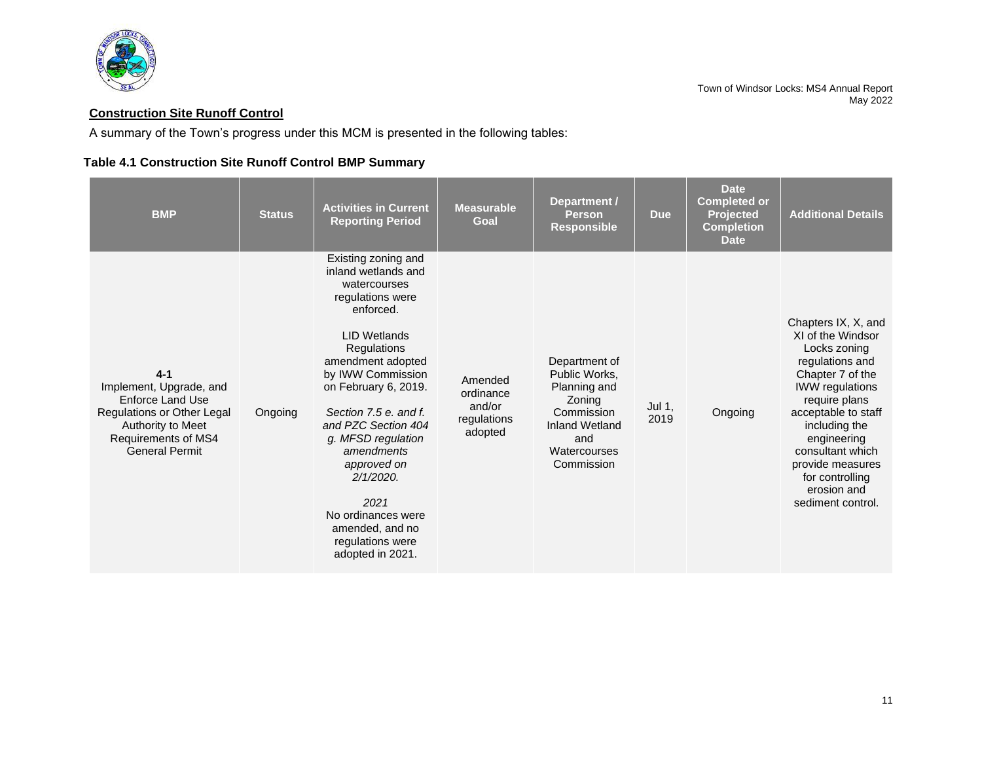

# <span id="page-12-0"></span>**Construction Site Runoff Control**

A summary of the Town's progress under this MCM is presented in the following tables:

# **Table 4.1 Construction Site Runoff Control BMP Summary**

| <b>BMP</b>                                                                                                                                                | <b>Status</b> | <b>Activities in Current</b><br><b>Reporting Period</b>                                                                                                                                                                                                                                                                                                                                                         | <b>Measurable</b><br>Goal                                | Department /<br><b>Person</b><br><b>Responsible</b>                                                                                  | <b>Due</b>     | <b>Date</b><br><b>Completed or</b><br><b>Projected</b><br><b>Completion</b><br><b>Date</b> | <b>Additional Details</b>                                                                                                                                                                                                                                                                        |
|-----------------------------------------------------------------------------------------------------------------------------------------------------------|---------------|-----------------------------------------------------------------------------------------------------------------------------------------------------------------------------------------------------------------------------------------------------------------------------------------------------------------------------------------------------------------------------------------------------------------|----------------------------------------------------------|--------------------------------------------------------------------------------------------------------------------------------------|----------------|--------------------------------------------------------------------------------------------|--------------------------------------------------------------------------------------------------------------------------------------------------------------------------------------------------------------------------------------------------------------------------------------------------|
| $4 - 1$<br>Implement, Upgrade, and<br>Enforce Land Use<br>Regulations or Other Legal<br>Authority to Meet<br>Requirements of MS4<br><b>General Permit</b> | Ongoing       | Existing zoning and<br>inland wetlands and<br>watercourses<br>regulations were<br>enforced.<br><b>LID Wetlands</b><br>Regulations<br>amendment adopted<br>by IWW Commission<br>on February 6, 2019.<br>Section 7.5 e. and f.<br>and PZC Section 404<br>q. MFSD requlation<br>amendments<br>approved on<br>$2/1/2020$ .<br>2021<br>No ordinances were<br>amended, and no<br>regulations were<br>adopted in 2021. | Amended<br>ordinance<br>and/or<br>regulations<br>adopted | Department of<br>Public Works,<br>Planning and<br>Zoning<br>Commission<br><b>Inland Wetland</b><br>and<br>Watercourses<br>Commission | Jul 1,<br>2019 | Ongoing                                                                                    | Chapters IX, X, and<br>XI of the Windsor<br>Locks zoning<br>regulations and<br>Chapter 7 of the<br><b>IWW</b> regulations<br>require plans<br>acceptable to staff<br>including the<br>engineering<br>consultant which<br>provide measures<br>for controlling<br>erosion and<br>sediment control. |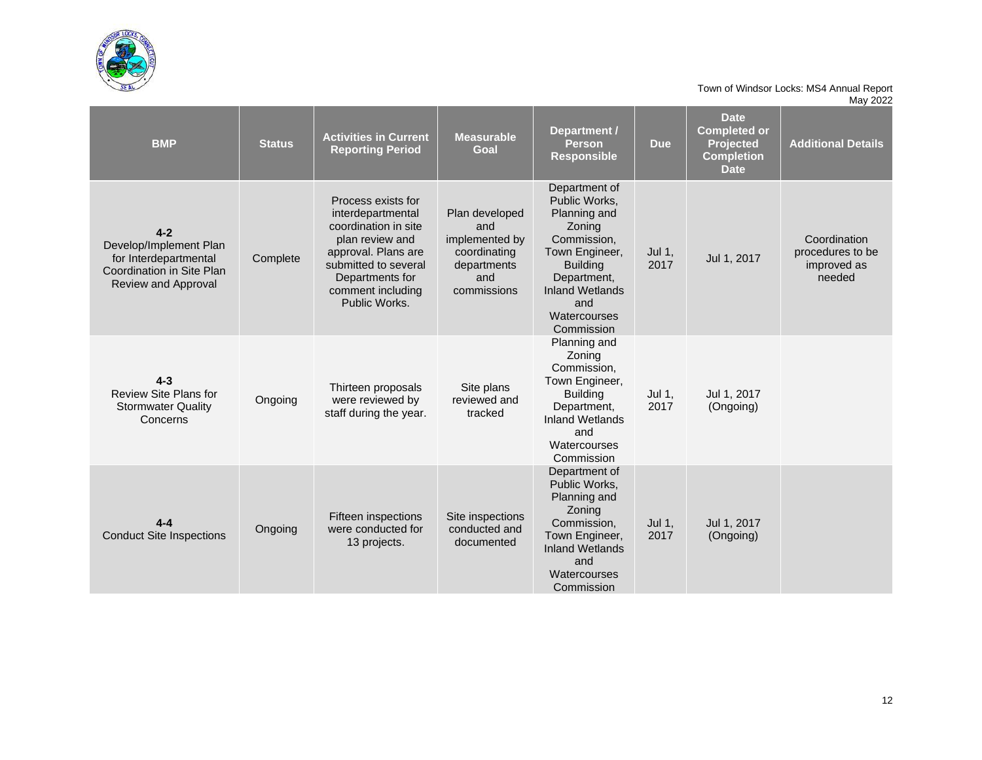

| <b>BMP</b>                                                                                                     | <b>Status</b> | <b>Activities in Current</b><br><b>Reporting Period</b>                                                                                                                                    | <b>Measurable</b><br>Goal                                                                    | Department /<br><b>Person</b><br><b>Responsible</b>                                                                                                                                        | <b>Due</b>       | <b>Date</b><br><b>Completed or</b><br><b>Projected</b><br><b>Completion</b><br><b>Date</b> | <b>Additional Details</b>                                 |
|----------------------------------------------------------------------------------------------------------------|---------------|--------------------------------------------------------------------------------------------------------------------------------------------------------------------------------------------|----------------------------------------------------------------------------------------------|--------------------------------------------------------------------------------------------------------------------------------------------------------------------------------------------|------------------|--------------------------------------------------------------------------------------------|-----------------------------------------------------------|
| $4 - 2$<br>Develop/Implement Plan<br>for Interdepartmental<br>Coordination in Site Plan<br>Review and Approval | Complete      | Process exists for<br>interdepartmental<br>coordination in site<br>plan review and<br>approval. Plans are<br>submitted to several<br>Departments for<br>comment including<br>Public Works. | Plan developed<br>and<br>implemented by<br>coordinating<br>departments<br>and<br>commissions | Department of<br>Public Works,<br>Planning and<br>Zoning<br>Commission,<br>Town Engineer,<br><b>Building</b><br>Department,<br><b>Inland Wetlands</b><br>and<br>Watercourses<br>Commission | Jul $1,$<br>2017 | Jul 1, 2017                                                                                | Coordination<br>procedures to be<br>improved as<br>needed |
| $4 - 3$<br><b>Review Site Plans for</b><br><b>Stormwater Quality</b><br>Concerns                               | Ongoing       | Thirteen proposals<br>were reviewed by<br>staff during the year.                                                                                                                           | Site plans<br>reviewed and<br>tracked                                                        | Planning and<br>Zoning<br>Commission.<br>Town Engineer,<br><b>Building</b><br>Department,<br><b>Inland Wetlands</b><br>and<br>Watercourses<br>Commission                                   | Jul 1,<br>2017   | Jul 1, 2017<br>(Ongoing)                                                                   |                                                           |
| $4 - 4$<br><b>Conduct Site Inspections</b>                                                                     | Ongoing       | Fifteen inspections<br>were conducted for<br>13 projects.                                                                                                                                  | Site inspections<br>conducted and<br>documented                                              | Department of<br>Public Works.<br>Planning and<br>Zoning<br>Commission,<br>Town Engineer,<br><b>Inland Wetlands</b><br>and<br>Watercourses<br>Commission                                   | Jul 1,<br>2017   | Jul 1, 2017<br>(Ongoing)                                                                   |                                                           |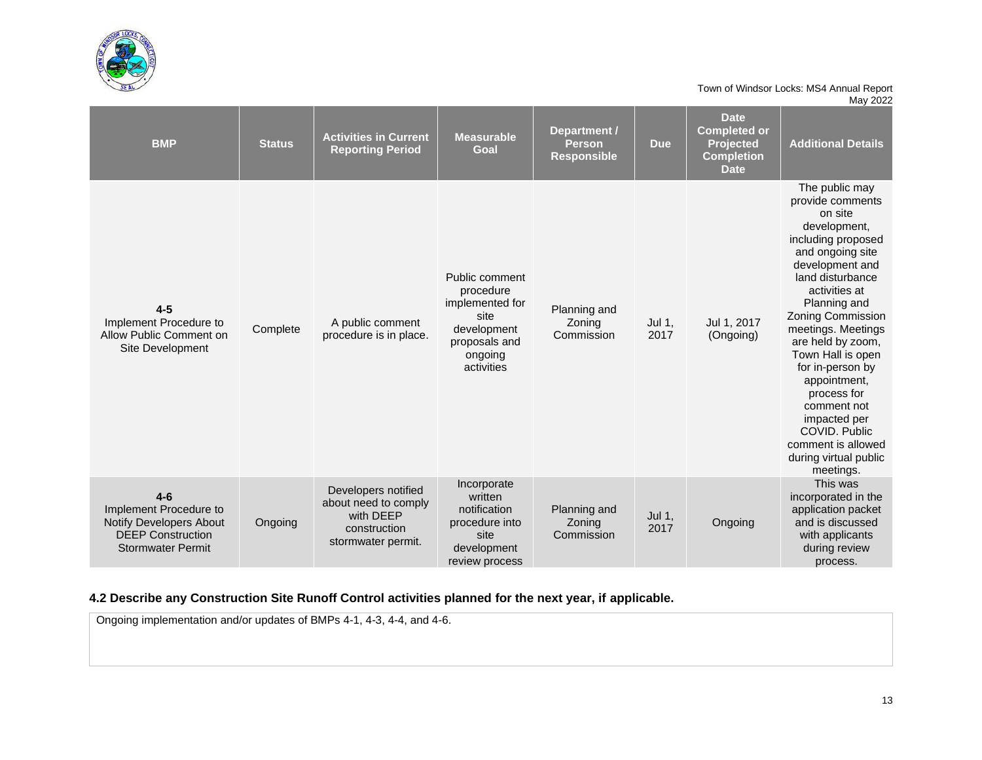

| <b>BMP</b>                                                                                                         | <b>Status</b> | <b>Activities in Current</b><br><b>Reporting Period</b>                                        | <b>Measurable</b><br>Goal                                                                                       | <b>Department /</b><br><b>Person</b><br><b>Responsible</b> | <b>Due</b>     | <b>Date</b><br><b>Completed or</b><br><b>Projected</b><br><b>Completion</b><br><b>Date</b> | <b>Additional Details</b>                                                                                                                                                                                                                                                                                                                                                                                                                  |
|--------------------------------------------------------------------------------------------------------------------|---------------|------------------------------------------------------------------------------------------------|-----------------------------------------------------------------------------------------------------------------|------------------------------------------------------------|----------------|--------------------------------------------------------------------------------------------|--------------------------------------------------------------------------------------------------------------------------------------------------------------------------------------------------------------------------------------------------------------------------------------------------------------------------------------------------------------------------------------------------------------------------------------------|
| $4 - 5$<br>Implement Procedure to<br>Allow Public Comment on<br>Site Development                                   | Complete      | A public comment<br>procedure is in place.                                                     | Public comment<br>procedure<br>implemented for<br>site<br>development<br>proposals and<br>ongoing<br>activities | Planning and<br>Zoning<br>Commission                       | Jul 1,<br>2017 | Jul 1, 2017<br>(Ongoing)                                                                   | The public may<br>provide comments<br>on site<br>development,<br>including proposed<br>and ongoing site<br>development and<br>land disturbance<br>activities at<br>Planning and<br><b>Zoning Commission</b><br>meetings. Meetings<br>are held by zoom,<br>Town Hall is open<br>for in-person by<br>appointment,<br>process for<br>comment not<br>impacted per<br>COVID, Public<br>comment is allowed<br>during virtual public<br>meetings. |
| $4-6$<br>Implement Procedure to<br>Notify Developers About<br><b>DEEP Construction</b><br><b>Stormwater Permit</b> | Ongoing       | Developers notified<br>about need to comply<br>with DEEP<br>construction<br>stormwater permit. | Incorporate<br>written<br>notification<br>procedure into<br>site<br>development<br>review process               | Planning and<br>Zoning<br>Commission                       | Jul 1,<br>2017 | Ongoing                                                                                    | This was<br>incorporated in the<br>application packet<br>and is discussed<br>with applicants<br>during review<br>process.                                                                                                                                                                                                                                                                                                                  |

## **4.2 Describe any Construction Site Runoff Control activities planned for the next year, if applicable.**

Ongoing implementation and/or updates of BMPs 4-1, 4-3, 4-4, and 4-6.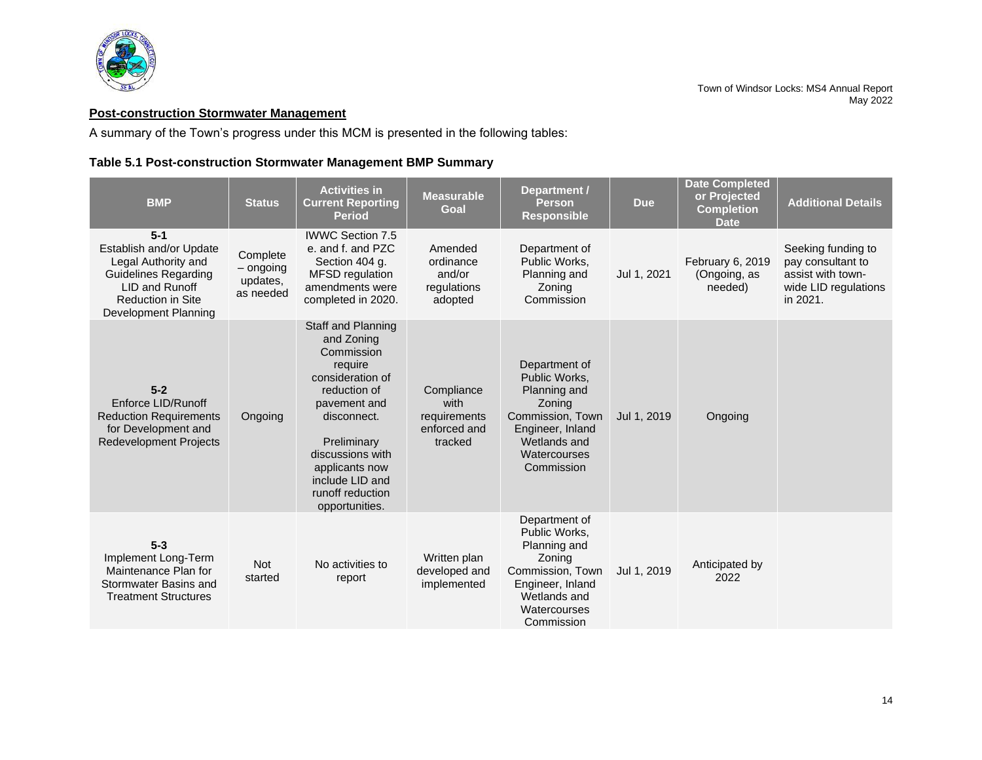

# <span id="page-15-0"></span>**Post-construction Stormwater Management**

A summary of the Town's progress under this MCM is presented in the following tables:

## **Table 5.1 Post-construction Stormwater Management BMP Summary**

| <b>BMP</b>                                                                                                                                                   | <b>Status</b>                                    | <b>Activities in</b><br><b>Current Reporting</b><br><b>Period</b>                                                                                                                                                                          | <b>Measurable</b><br>Goal                                     | <b>Department /</b><br><b>Person</b><br><b>Responsible</b>                                                                                     | <b>Due</b>  | <b>Date Completed</b><br>or Projected<br><b>Completion</b><br><b>Date</b> | <b>Additional Details</b>                                                                        |
|--------------------------------------------------------------------------------------------------------------------------------------------------------------|--------------------------------------------------|--------------------------------------------------------------------------------------------------------------------------------------------------------------------------------------------------------------------------------------------|---------------------------------------------------------------|------------------------------------------------------------------------------------------------------------------------------------------------|-------------|---------------------------------------------------------------------------|--------------------------------------------------------------------------------------------------|
| $5-1$<br>Establish and/or Update<br>Legal Authority and<br><b>Guidelines Regarding</b><br>LID and Runoff<br><b>Reduction in Site</b><br>Development Planning | Complete<br>$-$ ongoing<br>updates,<br>as needed | <b>IWWC Section 7.5</b><br>e, and f, and PZC<br>Section 404 g.<br><b>MFSD</b> regulation<br>amendments were<br>completed in 2020.                                                                                                          | Amended<br>ordinance<br>and/or<br>regulations<br>adopted      | Department of<br>Public Works,<br>Planning and<br>Zoning<br>Commission                                                                         | Jul 1, 2021 | February 6, 2019<br>(Ongoing, as<br>needed)                               | Seeking funding to<br>pay consultant to<br>assist with town-<br>wide LID regulations<br>in 2021. |
| $5 - 2$<br>Enforce LID/Runoff<br><b>Reduction Requirements</b><br>for Development and<br><b>Redevelopment Projects</b>                                       | Ongoing                                          | Staff and Planning<br>and Zoning<br>Commission<br>require<br>consideration of<br>reduction of<br>pavement and<br>disconnect.<br>Preliminary<br>discussions with<br>applicants now<br>include LID and<br>runoff reduction<br>opportunities. | Compliance<br>with<br>requirements<br>enforced and<br>tracked | Department of<br>Public Works,<br>Planning and<br>Zoning<br>Commission, Town<br>Engineer, Inland<br>Wetlands and<br>Watercourses<br>Commission | Jul 1, 2019 | Ongoing                                                                   |                                                                                                  |
| $5 - 3$<br>Implement Long-Term<br>Maintenance Plan for<br>Stormwater Basins and<br><b>Treatment Structures</b>                                               | <b>Not</b><br>started                            | No activities to<br>report                                                                                                                                                                                                                 | Written plan<br>developed and<br>implemented                  | Department of<br>Public Works.<br>Planning and<br>Zoning<br>Commission, Town<br>Engineer, Inland<br>Wetlands and<br>Watercourses<br>Commission | Jul 1, 2019 | Anticipated by<br>2022                                                    |                                                                                                  |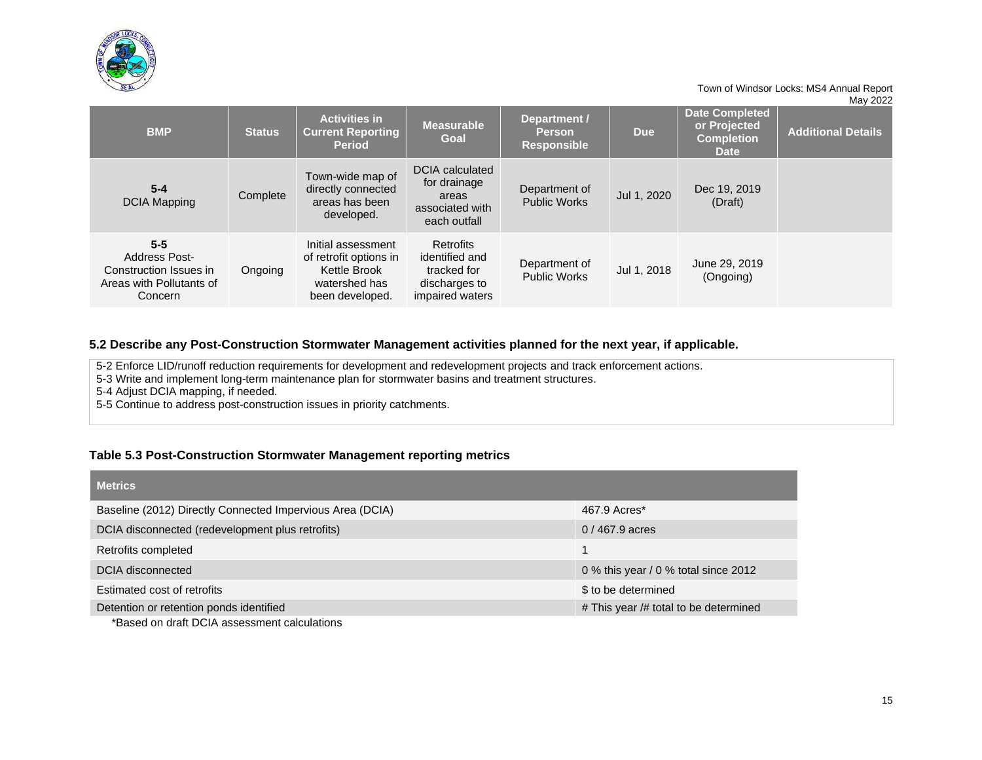

|                                                                                                  |               |                                                                                                  |                                                                                       |                                                     |             | <b>Date Completed</b>                            |                           |
|--------------------------------------------------------------------------------------------------|---------------|--------------------------------------------------------------------------------------------------|---------------------------------------------------------------------------------------|-----------------------------------------------------|-------------|--------------------------------------------------|---------------------------|
| <b>BMP</b>                                                                                       | <b>Status</b> | <b>Activities in</b><br><b>Current Reporting</b><br><b>Period</b>                                | <b>Measurable</b><br>Goal                                                             | Department /<br><b>Person</b><br><b>Responsible</b> | <b>Due</b>  | or Projected<br><b>Completion</b><br><b>Date</b> | <b>Additional Details</b> |
| $5 - 4$<br><b>DCIA Mapping</b>                                                                   | Complete      | Town-wide map of<br>directly connected<br>areas has been<br>developed.                           | <b>DCIA</b> calculated<br>for drainage<br>areas<br>associated with<br>each outfall    | Department of<br><b>Public Works</b>                | Jul 1, 2020 | Dec 19, 2019<br>(Draft)                          |                           |
| $5 - 5$<br><b>Address Post-</b><br>Construction Issues in<br>Areas with Pollutants of<br>Concern | Ongoing       | Initial assessment<br>of retrofit options in<br>Kettle Brook<br>watershed has<br>been developed. | <b>Retrofits</b><br>identified and<br>tracked for<br>discharges to<br>impaired waters | Department of<br><b>Public Works</b>                | Jul 1, 2018 | June 29, 2019<br>(Ongoing)                       |                           |

#### **5.2 Describe any Post-Construction Stormwater Management activities planned for the next year, if applicable.**

5-2 Enforce LID/runoff reduction requirements for development and redevelopment projects and track enforcement actions.

5-3 Write and implement long-term maintenance plan for stormwater basins and treatment structures.

5-4 Adjust DCIA mapping, if needed.

5-5 Continue to address post-construction issues in priority catchments.

## **Table 5.3 Post-Construction Stormwater Management reporting metrics**

| <b>Metrics</b>                                            |                                       |
|-----------------------------------------------------------|---------------------------------------|
| Baseline (2012) Directly Connected Impervious Area (DCIA) | 467.9 Acres*                          |
| DCIA disconnected (redevelopment plus retrofits)          | $0/467.9$ acres                       |
| Retrofits completed                                       |                                       |
| DCIA disconnected                                         | 0 % this year / 0 % total since 2012  |
| Estimated cost of retrofits                               | \$ to be determined                   |
| Detention or retention ponds identified                   | # This year /# total to be determined |

\*Based on draft DCIA assessment calculations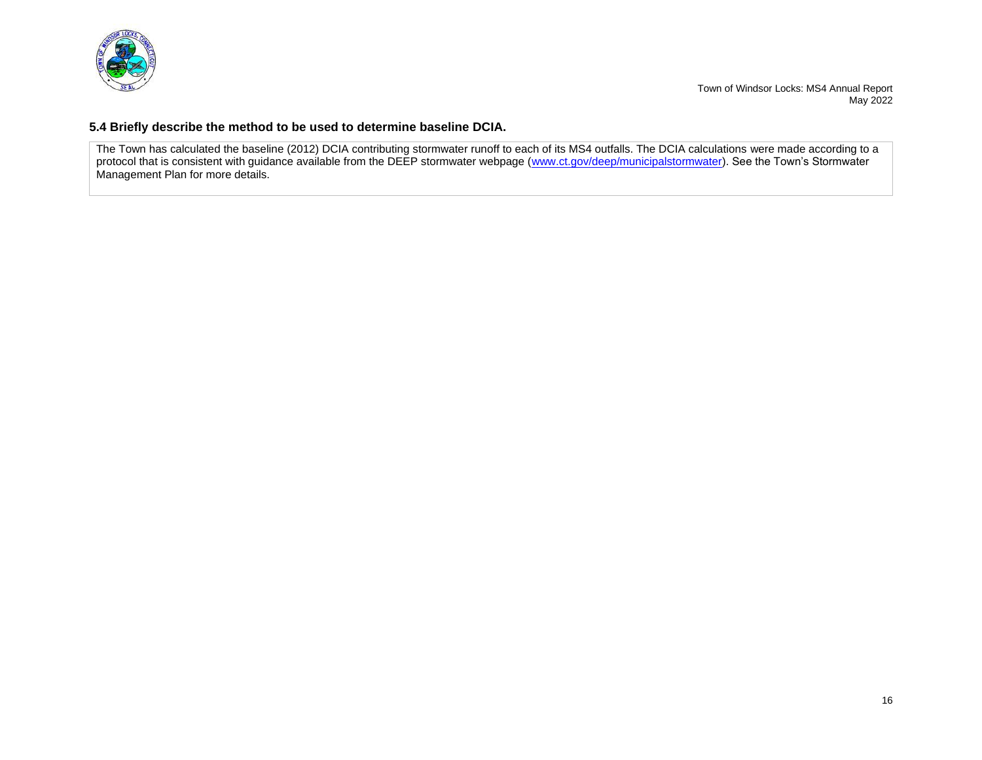

#### **5.4 Briefly describe the method to be used to determine baseline DCIA.**

The Town has calculated the baseline (2012) DCIA contributing stormwater runoff to each of its MS4 outfalls. The DCIA calculations were made according to a protocol that is consistent with guidance available from the DEEP stormwater webpage [\(www.ct.gov/deep/municipalstormwater\)](http://www.ct.gov/deep/municipalstormwater). See the Town's Stormwater Management Plan for more details.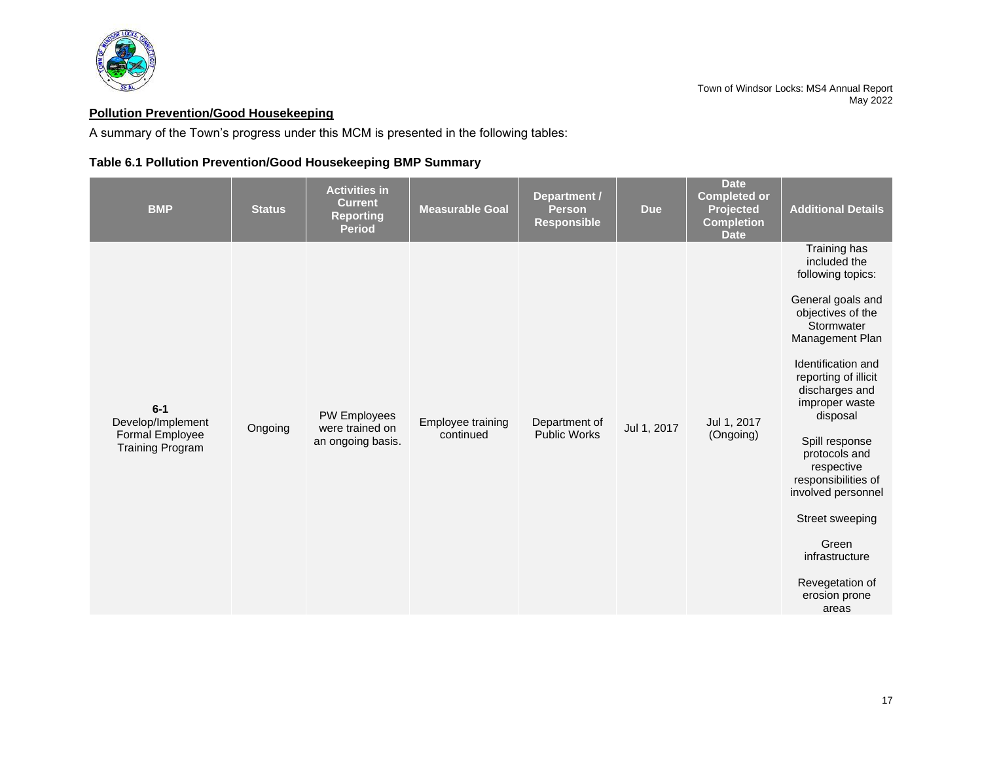

# <span id="page-18-0"></span>**Pollution Prevention/Good Housekeeping**

A summary of the Town's progress under this MCM is presented in the following tables:

# **Table 6.1 Pollution Prevention/Good Housekeeping BMP Summary**

| <b>BMP</b>                                                               | <b>Status</b> | <b>Activities in</b><br><b>Current</b><br><b>Reporting</b><br><b>Period</b> | <b>Measurable Goal</b>         | Department /<br><b>Person</b><br><b>Responsible</b> | <b>Due</b>  | <b>Date</b><br><b>Completed or</b><br><b>Projected</b><br><b>Completion</b><br><b>Date</b> | <b>Additional Details</b>                                                                                                                                                                                                                                                                                                                                                                                           |
|--------------------------------------------------------------------------|---------------|-----------------------------------------------------------------------------|--------------------------------|-----------------------------------------------------|-------------|--------------------------------------------------------------------------------------------|---------------------------------------------------------------------------------------------------------------------------------------------------------------------------------------------------------------------------------------------------------------------------------------------------------------------------------------------------------------------------------------------------------------------|
| $6-1$<br>Develop/Implement<br>Formal Employee<br><b>Training Program</b> | Ongoing       | <b>PW Employees</b><br>were trained on<br>an ongoing basis.                 | Employee training<br>continued | Department of<br><b>Public Works</b>                | Jul 1, 2017 | Jul 1, 2017<br>(Ongoing)                                                                   | Training has<br>included the<br>following topics:<br>General goals and<br>objectives of the<br>Stormwater<br>Management Plan<br>Identification and<br>reporting of illicit<br>discharges and<br>improper waste<br>disposal<br>Spill response<br>protocols and<br>respective<br>responsibilities of<br>involved personnel<br>Street sweeping<br>Green<br>infrastructure<br>Revegetation of<br>erosion prone<br>areas |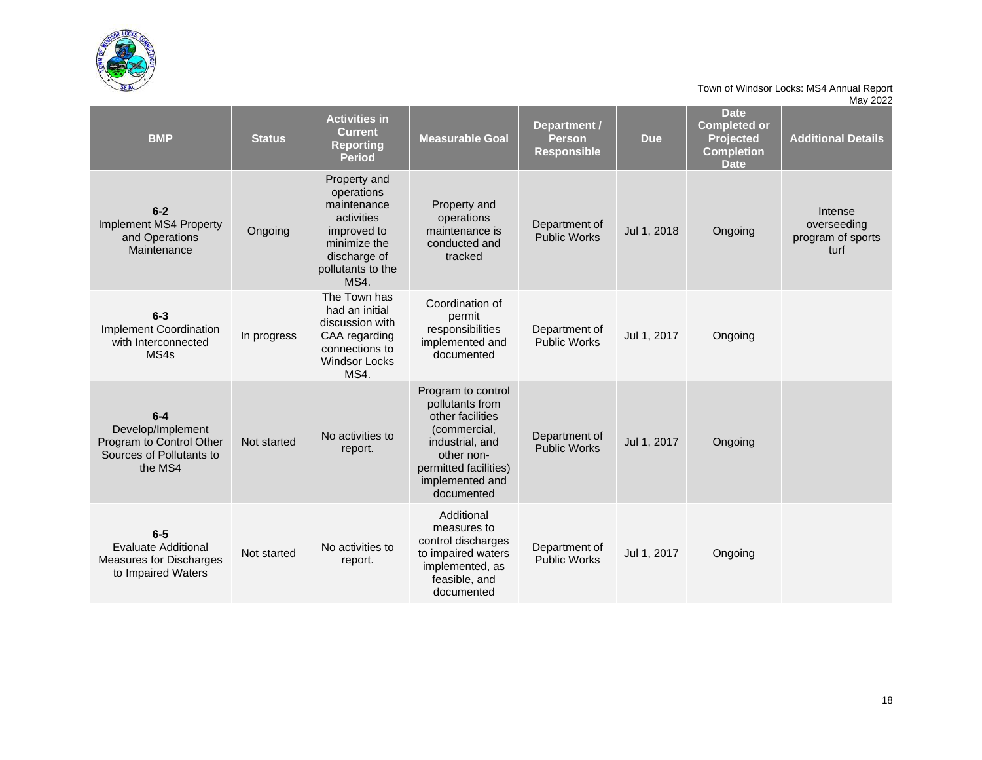

|                                                                                               |               |                                                                                                                                            |                                                                                                                                                                      |                                                     |             |                                                                                     | , ___                                               |
|-----------------------------------------------------------------------------------------------|---------------|--------------------------------------------------------------------------------------------------------------------------------------------|----------------------------------------------------------------------------------------------------------------------------------------------------------------------|-----------------------------------------------------|-------------|-------------------------------------------------------------------------------------|-----------------------------------------------------|
| <b>BMP</b>                                                                                    | <b>Status</b> | <b>Activities in</b><br><b>Current</b><br><b>Reporting</b><br><b>Period</b>                                                                | <b>Measurable Goal</b>                                                                                                                                               | Department /<br><b>Person</b><br><b>Responsible</b> | <b>Due</b>  | <b>Date</b><br><b>Completed or</b><br>Projected<br><b>Completion</b><br><b>Date</b> | <b>Additional Details</b>                           |
| $6 - 2$<br>Implement MS4 Property<br>and Operations<br>Maintenance                            | Ongoing       | Property and<br>operations<br>maintenance<br>activities<br>improved to<br>minimize the<br>discharge of<br>pollutants to the<br><b>MS4.</b> | Property and<br>operations<br>maintenance is<br>conducted and<br>tracked                                                                                             | Department of<br><b>Public Works</b>                | Jul 1, 2018 | Ongoing                                                                             | Intense<br>overseeding<br>program of sports<br>turf |
| $6 - 3$<br>Implement Coordination<br>with Interconnected<br>MS4s                              | In progress   | The Town has<br>had an initial<br>discussion with<br>CAA regarding<br>connections to<br><b>Windsor Locks</b><br>MS4.                       | Coordination of<br>permit<br>responsibilities<br>implemented and<br>documented                                                                                       | Department of<br><b>Public Works</b>                | Jul 1, 2017 | Ongoing                                                                             |                                                     |
| $6-4$<br>Develop/Implement<br>Program to Control Other<br>Sources of Pollutants to<br>the MS4 | Not started   | No activities to<br>report.                                                                                                                | Program to control<br>pollutants from<br>other facilities<br>(commercial,<br>industrial, and<br>other non-<br>permitted facilities)<br>implemented and<br>documented | Department of<br><b>Public Works</b>                | Jul 1, 2017 | Ongoing                                                                             |                                                     |
| $6-5$<br><b>Evaluate Additional</b><br>Measures for Discharges<br>to Impaired Waters          | Not started   | No activities to<br>report.                                                                                                                | Additional<br>measures to<br>control discharges<br>to impaired waters<br>implemented, as<br>feasible, and<br>documented                                              | Department of<br><b>Public Works</b>                | Jul 1, 2017 | Ongoing                                                                             |                                                     |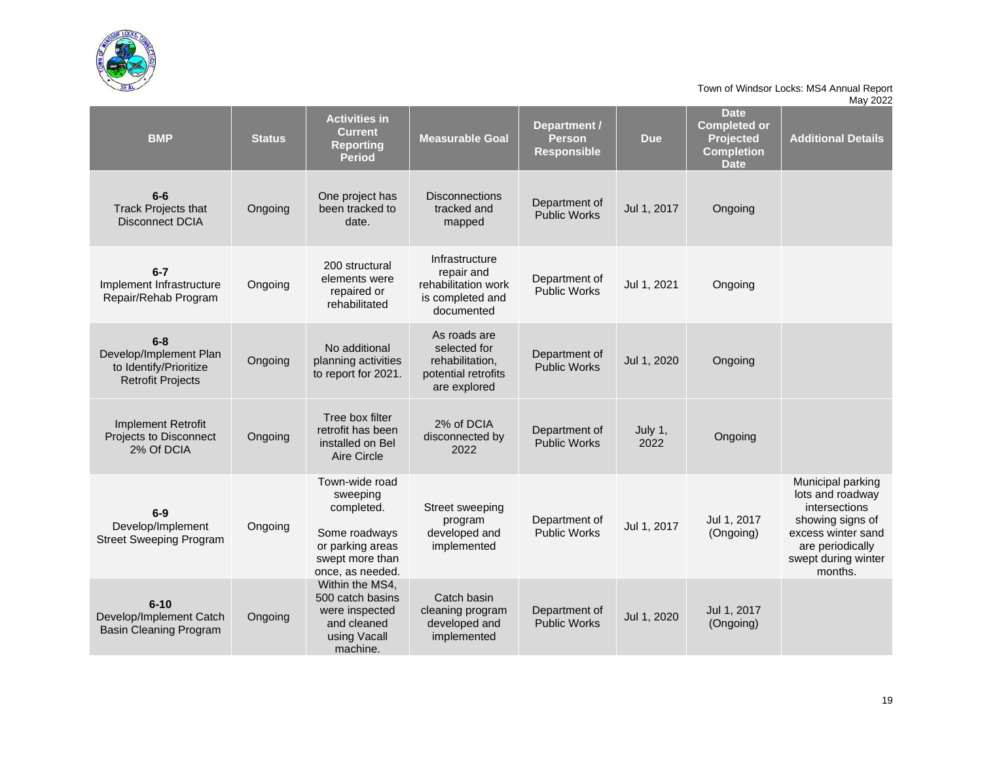

| <b>BMP</b>                                                                              | <b>Status</b> | <b>Activities in</b><br><b>Current</b><br><b>Reporting</b><br><b>Period</b>                                          | <b>Measurable Goal</b>                                                                 | Department /<br><b>Person</b><br><b>Responsible</b> | <b>Due</b>      | <b>Date</b><br><b>Completed or</b><br><b>Projected</b><br><b>Completion</b><br><b>Date</b> | <b>Additional Details</b>                                                                                                                              |
|-----------------------------------------------------------------------------------------|---------------|----------------------------------------------------------------------------------------------------------------------|----------------------------------------------------------------------------------------|-----------------------------------------------------|-----------------|--------------------------------------------------------------------------------------------|--------------------------------------------------------------------------------------------------------------------------------------------------------|
| $6-6$<br><b>Track Projects that</b><br><b>Disconnect DCIA</b>                           | Ongoing       | One project has<br>been tracked to<br>date.                                                                          | <b>Disconnections</b><br>tracked and<br>mapped                                         | Department of<br><b>Public Works</b>                | Jul 1, 2017     | Ongoing                                                                                    |                                                                                                                                                        |
| $6-7$<br>Implement Infrastructure<br>Repair/Rehab Program                               | Ongoing       | 200 structural<br>elements were<br>repaired or<br>rehabilitated                                                      | Infrastructure<br>repair and<br>rehabilitation work<br>is completed and<br>documented  | Department of<br><b>Public Works</b>                | Jul 1, 2021     | Ongoing                                                                                    |                                                                                                                                                        |
| $6 - 8$<br>Develop/Implement Plan<br>to Identify/Prioritize<br><b>Retrofit Projects</b> | Ongoing       | No additional<br>planning activities<br>to report for 2021.                                                          | As roads are<br>selected for<br>rehabilitation,<br>potential retrofits<br>are explored | Department of<br><b>Public Works</b>                | Jul 1, 2020     | Ongoing                                                                                    |                                                                                                                                                        |
| Implement Retrofit<br>Projects to Disconnect<br>2% Of DCIA                              | Ongoing       | Tree box filter<br>retrofit has been<br>installed on Bel<br>Aire Circle                                              | 2% of DCIA<br>disconnected by<br>2022                                                  | Department of<br><b>Public Works</b>                | July 1,<br>2022 | Ongoing                                                                                    |                                                                                                                                                        |
| $6-9$<br>Develop/Implement<br><b>Street Sweeping Program</b>                            | Ongoing       | Town-wide road<br>sweeping<br>completed.<br>Some roadways<br>or parking areas<br>swept more than<br>once, as needed. | Street sweeping<br>program<br>developed and<br>implemented                             | Department of<br><b>Public Works</b>                | Jul 1, 2017     | Jul 1, 2017<br>(Ongoing)                                                                   | Municipal parking<br>lots and roadway<br>intersections<br>showing signs of<br>excess winter sand<br>are periodically<br>swept during winter<br>months. |
| $6 - 10$<br>Develop/Implement Catch<br><b>Basin Cleaning Program</b>                    | Ongoing       | Within the MS4.<br>500 catch basins<br>were inspected<br>and cleaned<br>using Vacall<br>machine.                     | Catch basin<br>cleaning program<br>developed and<br>implemented                        | Department of<br><b>Public Works</b>                | Jul 1, 2020     | Jul 1, 2017<br>(Ongoing)                                                                   |                                                                                                                                                        |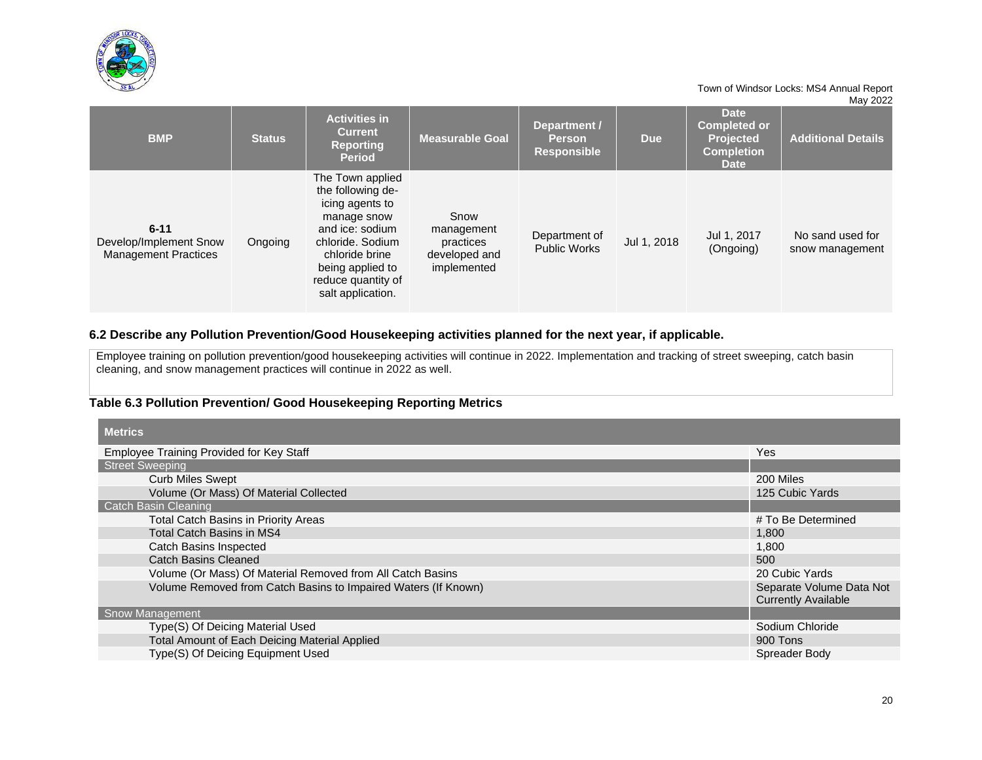

|                                                                   |               |                                                                                                                                                                                                 |                                                                 |                                                     |             |                                                                                            | $1414$ $2022$                       |
|-------------------------------------------------------------------|---------------|-------------------------------------------------------------------------------------------------------------------------------------------------------------------------------------------------|-----------------------------------------------------------------|-----------------------------------------------------|-------------|--------------------------------------------------------------------------------------------|-------------------------------------|
| <b>BMP</b>                                                        | <b>Status</b> | <b>Activities in</b><br><b>Current</b><br><b>Reporting</b><br><b>Period</b>                                                                                                                     | <b>Measurable Goal</b>                                          | Department /<br><b>Person</b><br><b>Responsible</b> | <b>Due</b>  | <b>Date</b><br><b>Completed or</b><br><b>Projected</b><br><b>Completion</b><br><b>Date</b> | <b>Additional Details</b>           |
| $6 - 11$<br>Develop/Implement Snow<br><b>Management Practices</b> | Ongoing       | The Town applied<br>the following de-<br>icing agents to<br>manage snow<br>and ice: sodium<br>chloride, Sodium<br>chloride brine<br>being applied to<br>reduce quantity of<br>salt application. | Snow<br>management<br>practices<br>developed and<br>implemented | Department of<br><b>Public Works</b>                | Jul 1, 2018 | Jul 1, 2017<br>(Ongoing)                                                                   | No sand used for<br>snow management |

## **6.2 Describe any Pollution Prevention/Good Housekeeping activities planned for the next year, if applicable.**

Employee training on pollution prevention/good housekeeping activities will continue in 2022. Implementation and tracking of street sweeping, catch basin cleaning, and snow management practices will continue in 2022 as well.

## **Table 6.3 Pollution Prevention/ Good Housekeeping Reporting Metrics**

| <b>Metrics</b>                                                 |                            |
|----------------------------------------------------------------|----------------------------|
| Employee Training Provided for Key Staff                       | <b>Yes</b>                 |
| <b>Street Sweeping</b>                                         |                            |
| <b>Curb Miles Swept</b>                                        | 200 Miles                  |
| Volume (Or Mass) Of Material Collected                         | 125 Cubic Yards            |
| <b>Catch Basin Cleaning</b>                                    |                            |
| <b>Total Catch Basins in Priority Areas</b>                    | # To Be Determined         |
| <b>Total Catch Basins in MS4</b>                               | 1,800                      |
| Catch Basins Inspected                                         | 1,800                      |
| <b>Catch Basins Cleaned</b>                                    | 500                        |
| Volume (Or Mass) Of Material Removed from All Catch Basins     | 20 Cubic Yards             |
| Volume Removed from Catch Basins to Impaired Waters (If Known) | Separate Volume Data Not   |
|                                                                | <b>Currently Available</b> |
| <b>Snow Management</b>                                         |                            |
| Type(S) Of Deicing Material Used                               | Sodium Chloride            |
| Total Amount of Each Deicing Material Applied                  | 900 Tons                   |
| Type(S) Of Deicing Equipment Used                              | Spreader Body              |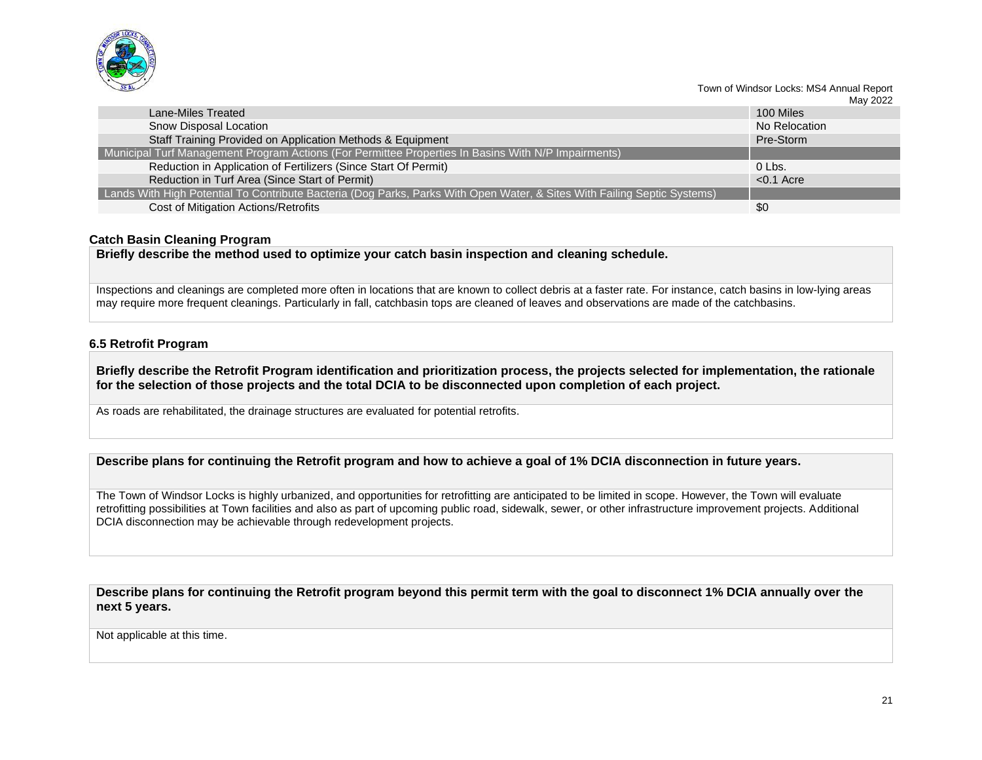

|                                                                                                                          |               | <b>IVIAY ZUZZ</b> |
|--------------------------------------------------------------------------------------------------------------------------|---------------|-------------------|
| Lane-Miles Treated                                                                                                       | 100 Miles     |                   |
| Snow Disposal Location                                                                                                   | No Relocation |                   |
| Staff Training Provided on Application Methods & Equipment                                                               | Pre-Storm     |                   |
| Municipal Turf Management Program Actions (For Permittee Properties In Basins With N/P Impairments)                      |               |                   |
| Reduction in Application of Fertilizers (Since Start Of Permit)                                                          | $0l$ Lbs.     |                   |
| Reduction in Turf Area (Since Start of Permit)                                                                           | $< 0.1$ Acre  |                   |
| Lands With High Potential To Contribute Bacteria (Dog Parks, Parks With Open Water, & Sites With Failing Septic Systems) |               |                   |
| Cost of Mitigation Actions/Retrofits                                                                                     | \$0           |                   |

#### **Catch Basin Cleaning Program**

**Briefly describe the method used to optimize your catch basin inspection and cleaning schedule.**

Inspections and cleanings are completed more often in locations that are known to collect debris at a faster rate. For instance, catch basins in low-lying areas may require more frequent cleanings. Particularly in fall, catchbasin tops are cleaned of leaves and observations are made of the catchbasins.

#### **6.5 Retrofit Program**

**Briefly describe the Retrofit Program identification and prioritization process, the projects selected for implementation, the rationale for the selection of those projects and the total DCIA to be disconnected upon completion of each project.** 

As roads are rehabilitated, the drainage structures are evaluated for potential retrofits.

**Describe plans for continuing the Retrofit program and how to achieve a goal of 1% DCIA disconnection in future years.** 

The Town of Windsor Locks is highly urbanized, and opportunities for retrofitting are anticipated to be limited in scope. However, the Town will evaluate retrofitting possibilities at Town facilities and also as part of upcoming public road, sidewalk, sewer, or other infrastructure improvement projects. Additional DCIA disconnection may be achievable through redevelopment projects.

**Describe plans for continuing the Retrofit program beyond this permit term with the goal to disconnect 1% DCIA annually over the next 5 years.** 

Not applicable at this time.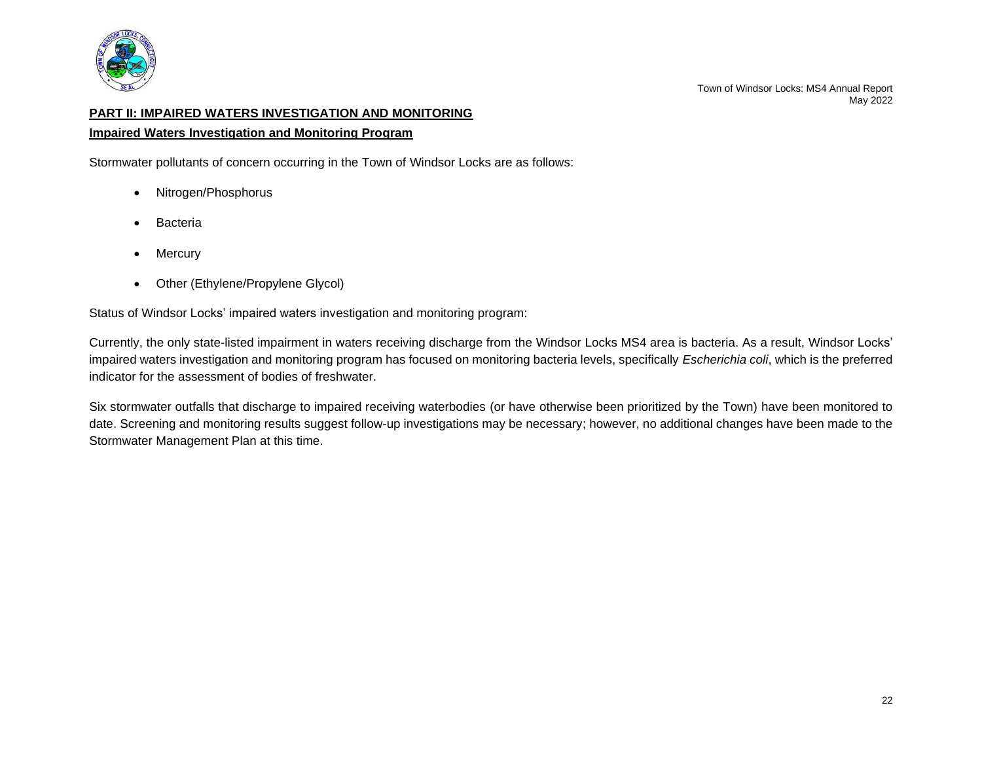

# <span id="page-23-0"></span>**PART II: IMPAIRED WATERS INVESTIGATION AND MONITORING**

#### **Impaired Waters Investigation and Monitoring Program**

Stormwater pollutants of concern occurring in the Town of Windsor Locks are as follows:

- Nitrogen/Phosphorus
- **Bacteria**
- Mercury
- Other (Ethylene/Propylene Glycol)

Status of Windsor Locks' impaired waters investigation and monitoring program:

Currently, the only state-listed impairment in waters receiving discharge from the Windsor Locks MS4 area is bacteria. As a result, Windsor Locks' impaired waters investigation and monitoring program has focused on monitoring bacteria levels, specifically *Escherichia coli*, which is the preferred indicator for the assessment of bodies of freshwater.

Six stormwater outfalls that discharge to impaired receiving waterbodies (or have otherwise been prioritized by the Town) have been monitored to date. Screening and monitoring results suggest follow-up investigations may be necessary; however, no additional changes have been made to the Stormwater Management Plan at this time.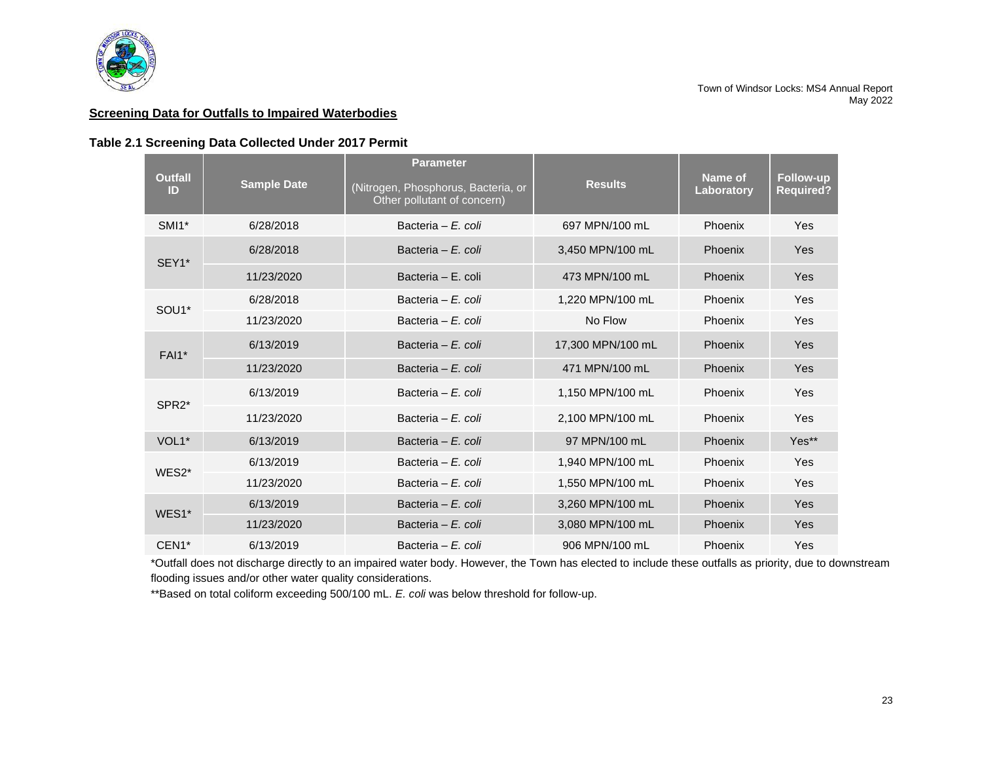

#### **Screening Data for Outfalls to Impaired Waterbodies**

#### **Table 2.1 Screening Data Collected Under 2017 Permit**

| <b>Outfall</b><br>ID | <b>Sample Date</b> | <b>Parameter</b><br>(Nitrogen, Phosphorus, Bacteria, or<br>Other pollutant of concern) | <b>Results</b>    | Name of<br>Laboratory | <b>Follow-up</b><br><b>Required?</b> |
|----------------------|--------------------|----------------------------------------------------------------------------------------|-------------------|-----------------------|--------------------------------------|
| SMI1*                | 6/28/2018          | Bacteria - E. coli                                                                     | 697 MPN/100 mL    | Phoenix               | Yes                                  |
| SEY1*                | 6/28/2018          | Bacteria - E. coli                                                                     | 3.450 MPN/100 mL  | Phoenix               | Yes                                  |
|                      | 11/23/2020         | Bacteria - E. coli                                                                     | 473 MPN/100 mL    | <b>Phoenix</b>        | Yes                                  |
| SOU <sub>1</sub> *   | 6/28/2018          | Bacteria - E. coli                                                                     | 1.220 MPN/100 mL  | Phoenix               | Yes                                  |
|                      | 11/23/2020         | Bacteria - E. coli                                                                     | No Flow           | Phoenix               | Yes                                  |
| <b>FAI1*</b>         | 6/13/2019          | Bacteria – $F$ , coli                                                                  | 17,300 MPN/100 mL | Phoenix               | Yes                                  |
|                      | 11/23/2020         | Bacteria – E. coli                                                                     | 471 MPN/100 mL    | Phoenix               | Yes                                  |
| SPR <sub>2</sub> *   | 6/13/2019          | Bacteria - E. coli                                                                     | 1,150 MPN/100 mL  | Phoenix               | Yes                                  |
|                      | 11/23/2020         | Bacteria - E. coli                                                                     | 2.100 MPN/100 mL  | Phoenix               | <b>Yes</b>                           |
| VOL1*                | 6/13/2019          | Bacteria - E. coli                                                                     | 97 MPN/100 mL     | Phoenix               | Yes**                                |
| WES2*                | 6/13/2019          | Bacteria - E. coli                                                                     | 1,940 MPN/100 mL  | Phoenix               | <b>Yes</b>                           |
|                      | 11/23/2020         | Bacteria - E. coli                                                                     | 1.550 MPN/100 mL  | Phoenix               | Yes                                  |
| WES1*                | 6/13/2019          | Bacteria – E. coli                                                                     | 3.260 MPN/100 mL  | Phoenix               | <b>Yes</b>                           |
|                      | 11/23/2020         | Bacteria – E. coli                                                                     | 3,080 MPN/100 mL  | Phoenix               | <b>Yes</b>                           |
| CEN1*                | 6/13/2019          | Bacteria - E. coli                                                                     | 906 MPN/100 mL    | Phoenix               | Yes                                  |

\*Outfall does not discharge directly to an impaired water body. However, the Town has elected to include these outfalls as priority, due to downstream flooding issues and/or other water quality considerations.

\*\*Based on total coliform exceeding 500/100 mL. *E. coli* was below threshold for follow-up.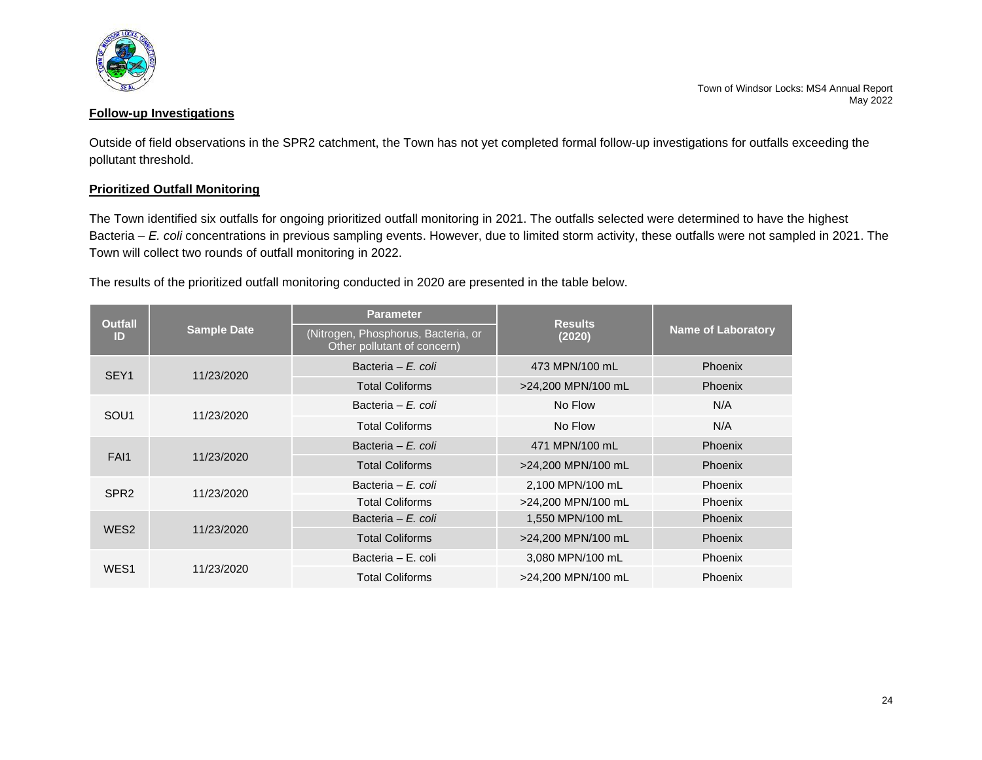

## **Follow-up Investigations**

Outside of field observations in the SPR2 catchment, the Town has not yet completed formal follow-up investigations for outfalls exceeding the pollutant threshold.

## **Prioritized Outfall Monitoring**

The Town identified six outfalls for ongoing prioritized outfall monitoring in 2021. The outfalls selected were determined to have the highest Bacteria – *E. coli* concentrations in previous sampling events. However, due to limited storm activity, these outfalls were not sampled in 2021. The Town will collect two rounds of outfall monitoring in 2022.

The results of the prioritized outfall monitoring conducted in 2020 are presented in the table below.

| <b>Outfall</b>                 |                                                                    | <b>Parameter</b>       | <b>Results</b>     | <b>Name of Laboratory</b> |  |
|--------------------------------|--------------------------------------------------------------------|------------------------|--------------------|---------------------------|--|
| <b>Sample Date</b><br>ID       | (Nitrogen, Phosphorus, Bacteria, or<br>Other pollutant of concern) | (2020)                 |                    |                           |  |
| SEY <sub>1</sub>               | 11/23/2020                                                         | Bacteria - E. coli     | 473 MPN/100 mL     | Phoenix                   |  |
|                                |                                                                    | <b>Total Coliforms</b> | >24,200 MPN/100 mL | <b>Phoenix</b>            |  |
| SOU <sub>1</sub>               | 11/23/2020                                                         | Bacteria – E. coli     | No Flow            | N/A                       |  |
|                                | <b>Total Coliforms</b>                                             | No Flow                | N/A                |                           |  |
|                                |                                                                    | Bacteria - E. coli     | 471 MPN/100 mL     | Phoenix                   |  |
| FAI1<br>11/23/2020             | <b>Total Coliforms</b>                                             | >24,200 MPN/100 mL     | <b>Phoenix</b>     |                           |  |
| SPR <sub>2</sub>               | 11/23/2020                                                         | Bacteria – E. coli     | 2,100 MPN/100 mL   | Phoenix                   |  |
|                                | <b>Total Coliforms</b>                                             | >24,200 MPN/100 mL     | Phoenix            |                           |  |
| WES <sub>2</sub><br>11/23/2020 |                                                                    | Bacteria – E. coli     | 1,550 MPN/100 mL   | <b>Phoenix</b>            |  |
|                                |                                                                    | <b>Total Coliforms</b> | >24,200 MPN/100 mL | Phoenix                   |  |
|                                |                                                                    | Bacteria - E. coli     | 3,080 MPN/100 mL   | Phoenix                   |  |
| WES <sub>1</sub>               | 11/23/2020                                                         | <b>Total Coliforms</b> | >24,200 MPN/100 mL | Phoenix                   |  |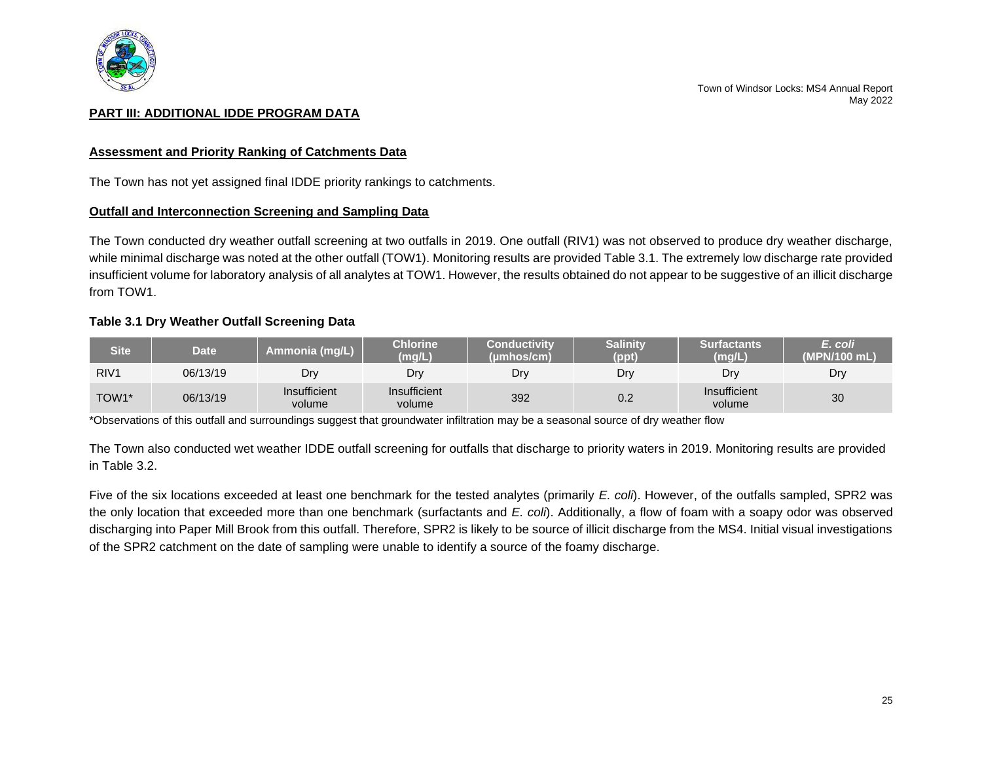

## <span id="page-26-0"></span>**PART III: ADDITIONAL IDDE PROGRAM DATA**

#### **Assessment and Priority Ranking of Catchments Data**

The Town has not yet assigned final IDDE priority rankings to catchments.

#### **Outfall and Interconnection Screening and Sampling Data**

The Town conducted dry weather outfall screening at two outfalls in 2019. One outfall (RIV1) was not observed to produce dry weather discharge, while minimal discharge was noted at the other outfall (TOW1). Monitoring results are provided Table 3.1. The extremely low discharge rate provided insufficient volume for laboratory analysis of all analytes at TOW1. However, the results obtained do not appear to be suggestive of an illicit discharge from TOW1.

#### **Table 3.1 Dry Weather Outfall Screening Data**

| <b>Site</b>      | <b>Date</b> | Ammonia (mg/L)         | Chlorine <sup>'</sup><br>(mg/L) | Conductivitv<br>(umhos/cm) | <b>Salinity</b><br>(ppt) | <b>Surfactants</b><br>(mg/L) | E. coli<br>(MPN/100 mL) |
|------------------|-------------|------------------------|---------------------------------|----------------------------|--------------------------|------------------------------|-------------------------|
| RIV <sub>1</sub> | 06/13/19    | Dr                     | Dry                             | Dry                        | Dry                      | Drv                          | Dry                     |
| TOW1*            | 06/13/19    | Insufficient<br>volume | Insufficient<br>volume          | 392                        | 0.2                      | Insufficient<br>volume       | 30                      |

\*Observations of this outfall and surroundings suggest that groundwater infiltration may be a seasonal source of dry weather flow

The Town also conducted wet weather IDDE outfall screening for outfalls that discharge to priority waters in 2019. Monitoring results are provided in Table 3.2.

Five of the six locations exceeded at least one benchmark for the tested analytes (primarily *E. coli*). However, of the outfalls sampled, SPR2 was the only location that exceeded more than one benchmark (surfactants and *E. coli*). Additionally, a flow of foam with a soapy odor was observed discharging into Paper Mill Brook from this outfall. Therefore, SPR2 is likely to be source of illicit discharge from the MS4. Initial visual investigations of the SPR2 catchment on the date of sampling were unable to identify a source of the foamy discharge.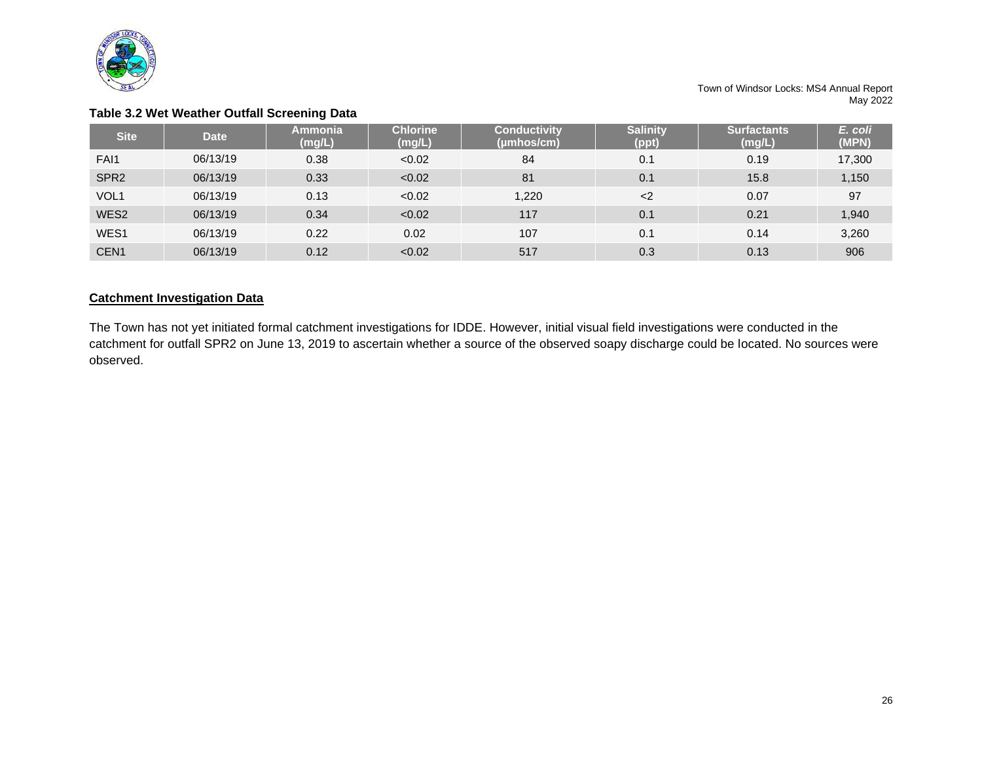

|                  |             | <b>.</b>                 |                           |                                   |                          |                              |                  |
|------------------|-------------|--------------------------|---------------------------|-----------------------------------|--------------------------|------------------------------|------------------|
| <b>Site</b>      | <b>Date</b> | <b>Ammonia</b><br>(mg/L) | <b>Chlorine</b><br>(mg/L) | <b>Conductivity</b><br>(umhos/cm) | <b>Salinity</b><br>(ppt) | <b>Surfactants</b><br>(mg/L) | E. coli<br>(MPN) |
| FAI1             | 06/13/19    | 0.38                     | < 0.02                    | 84                                | 0.1                      | 0.19                         | 17,300           |
| SPR <sub>2</sub> | 06/13/19    | 0.33                     | < 0.02                    | 81                                | 0.1                      | 15.8                         | 1,150            |
| VOL <sub>1</sub> | 06/13/19    | 0.13                     | < 0.02                    | 1,220                             | $<$ 2                    | 0.07                         | 97               |
| WES2             | 06/13/19    | 0.34                     | < 0.02                    | 117                               | 0.1                      | 0.21                         | 1,940            |
| WES1             | 06/13/19    | 0.22                     | 0.02                      | 107                               | 0.1                      | 0.14                         | 3,260            |
| CEN <sub>1</sub> | 06/13/19    | 0.12                     | < 0.02                    | 517                               | 0.3                      | 0.13                         | 906              |

## **Table 3.2 Wet Weather Outfall Screening Data**

## **Catchment Investigation Data**

The Town has not yet initiated formal catchment investigations for IDDE. However, initial visual field investigations were conducted in the catchment for outfall SPR2 on June 13, 2019 to ascertain whether a source of the observed soapy discharge could be located. No sources were observed.